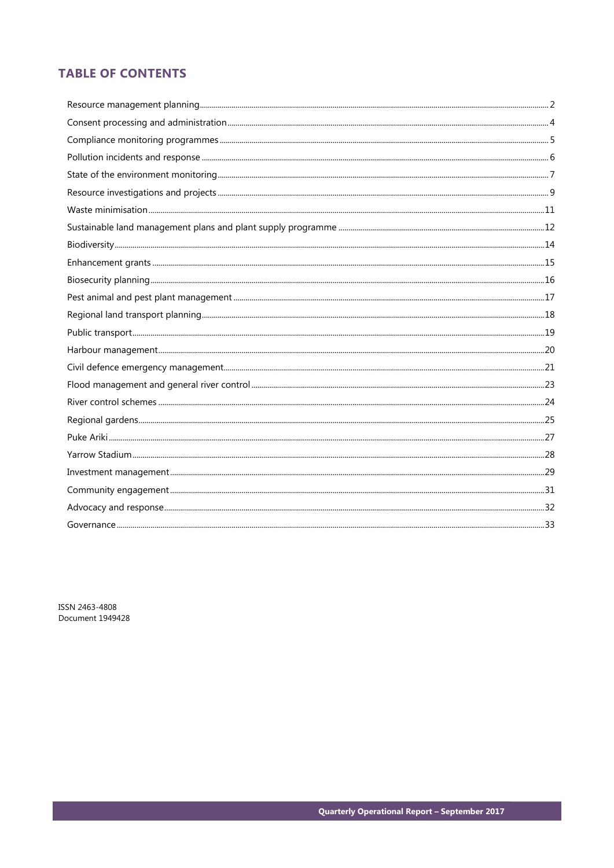# **TABLE OF CONTENTS**

ISSN 2463-4808 Document 1949428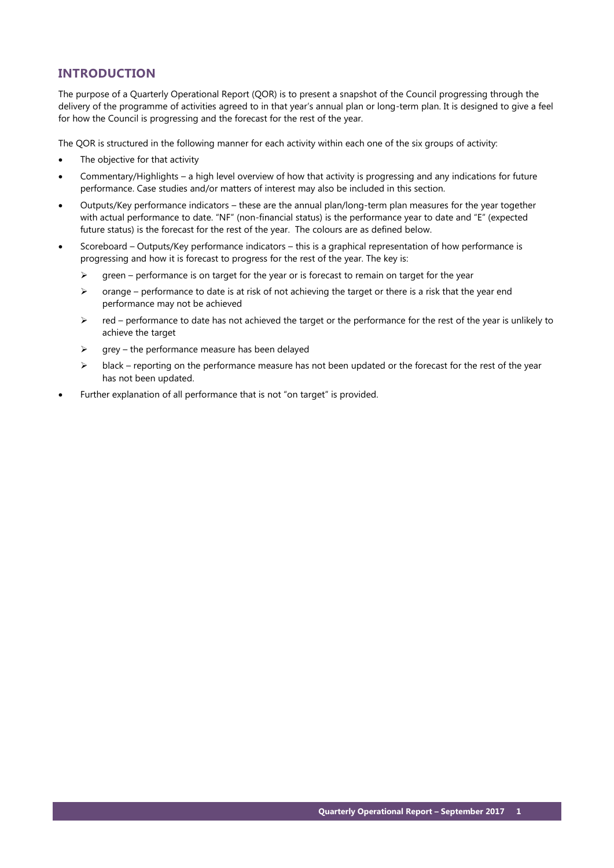# **INTRODUCTION**

The purpose of a Quarterly Operational Report (QOR) is to present a snapshot of the Council progressing through the delivery of the programme of activities agreed to in that year's annual plan or long-term plan. It is designed to give a feel for how the Council is progressing and the forecast for the rest of the year.

The QOR is structured in the following manner for each activity within each one of the six groups of activity:

- The objective for that activity
- Commentary/Highlights a high level overview of how that activity is progressing and any indications for future performance. Case studies and/or matters of interest may also be included in this section.
- Outputs/Key performance indicators these are the annual plan/long-term plan measures for the year together with actual performance to date. "NF" (non-financial status) is the performance year to date and "E" (expected future status) is the forecast for the rest of the year. The colours are as defined below.
- Scoreboard Outputs/Key performance indicators this is a graphical representation of how performance is progressing and how it is forecast to progress for the rest of the year. The key is:
	- $\triangleright$  green performance is on target for the year or is forecast to remain on target for the year
	- $\triangleright$  orange performance to date is at risk of not achieving the target or there is a risk that the year end performance may not be achieved
	- $\triangleright$  red performance to date has not achieved the target or the performance for the rest of the year is unlikely to achieve the target
	- $\triangleright$  grey the performance measure has been delayed
	- $\triangleright$  black reporting on the performance measure has not been updated or the forecast for the rest of the year has not been updated.
- Further explanation of all performance that is not "on target" is provided.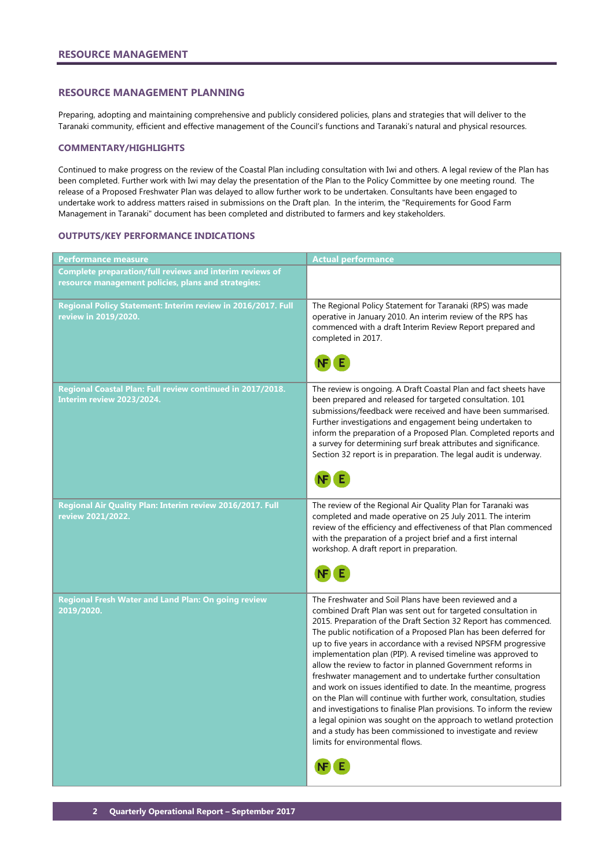### <span id="page-3-0"></span>**RESOURCE MANAGEMENT PLANNING**

Preparing, adopting and maintaining comprehensive and publicly considered policies, plans and strategies that will deliver to the Taranaki community, efficient and effective management of the Council's functions and Taranaki's natural and physical resources.

### **COMMENTARY/HIGHLIGHTS**

Continued to make progress on the review of the Coastal Plan including consultation with Iwi and others. A legal review of the Plan has been completed. Further work with Iwi may delay the presentation of the Plan to the Policy Committee by one meeting round. The release of a Proposed Freshwater Plan was delayed to allow further work to be undertaken. Consultants have been engaged to undertake work to address matters raised in submissions on the Draft plan. In the interim, the "Requirements for Good Farm Management in Taranaki" document has been completed and distributed to farmers and key stakeholders.

### **OUTPUTS/KEY PERFORMANCE INDICATIONS**

| <b>Performance measure</b>                                                                                      | <b>Actual performance</b>                                                                                                                                                                                                                                                                                                                                                                                                                                                                                                                                                                                                                                                                                                                                                                                                                                                                                                |
|-----------------------------------------------------------------------------------------------------------------|--------------------------------------------------------------------------------------------------------------------------------------------------------------------------------------------------------------------------------------------------------------------------------------------------------------------------------------------------------------------------------------------------------------------------------------------------------------------------------------------------------------------------------------------------------------------------------------------------------------------------------------------------------------------------------------------------------------------------------------------------------------------------------------------------------------------------------------------------------------------------------------------------------------------------|
| Complete preparation/full reviews and interim reviews of<br>resource management policies, plans and strategies: |                                                                                                                                                                                                                                                                                                                                                                                                                                                                                                                                                                                                                                                                                                                                                                                                                                                                                                                          |
| Regional Policy Statement: Interim review in 2016/2017. Full<br>review in 2019/2020.                            | The Regional Policy Statement for Taranaki (RPS) was made<br>operative in January 2010. An interim review of the RPS has<br>commenced with a draft Interim Review Report prepared and<br>completed in 2017.                                                                                                                                                                                                                                                                                                                                                                                                                                                                                                                                                                                                                                                                                                              |
| Regional Coastal Plan: Full review continued in 2017/2018.<br>Interim review 2023/2024.                         | The review is ongoing. A Draft Coastal Plan and fact sheets have<br>been prepared and released for targeted consultation. 101<br>submissions/feedback were received and have been summarised.<br>Further investigations and engagement being undertaken to<br>inform the preparation of a Proposed Plan. Completed reports and<br>a survey for determining surf break attributes and significance.<br>Section 32 report is in preparation. The legal audit is underway.                                                                                                                                                                                                                                                                                                                                                                                                                                                  |
| Regional Air Quality Plan: Interim review 2016/2017. Full<br>review 2021/2022.                                  | The review of the Regional Air Quality Plan for Taranaki was<br>completed and made operative on 25 July 2011. The interim<br>review of the efficiency and effectiveness of that Plan commenced<br>with the preparation of a project brief and a first internal<br>workshop. A draft report in preparation.                                                                                                                                                                                                                                                                                                                                                                                                                                                                                                                                                                                                               |
| Regional Fresh Water and Land Plan: On going review<br>2019/2020.                                               | The Freshwater and Soil Plans have been reviewed and a<br>combined Draft Plan was sent out for targeted consultation in<br>2015. Preparation of the Draft Section 32 Report has commenced.<br>The public notification of a Proposed Plan has been deferred for<br>up to five years in accordance with a revised NPSFM progressive<br>implementation plan (PIP). A revised timeline was approved to<br>allow the review to factor in planned Government reforms in<br>freshwater management and to undertake further consultation<br>and work on issues identified to date. In the meantime, progress<br>on the Plan will continue with further work, consultation, studies<br>and investigations to finalise Plan provisions. To inform the review<br>a legal opinion was sought on the approach to wetland protection<br>and a study has been commissioned to investigate and review<br>limits for environmental flows. |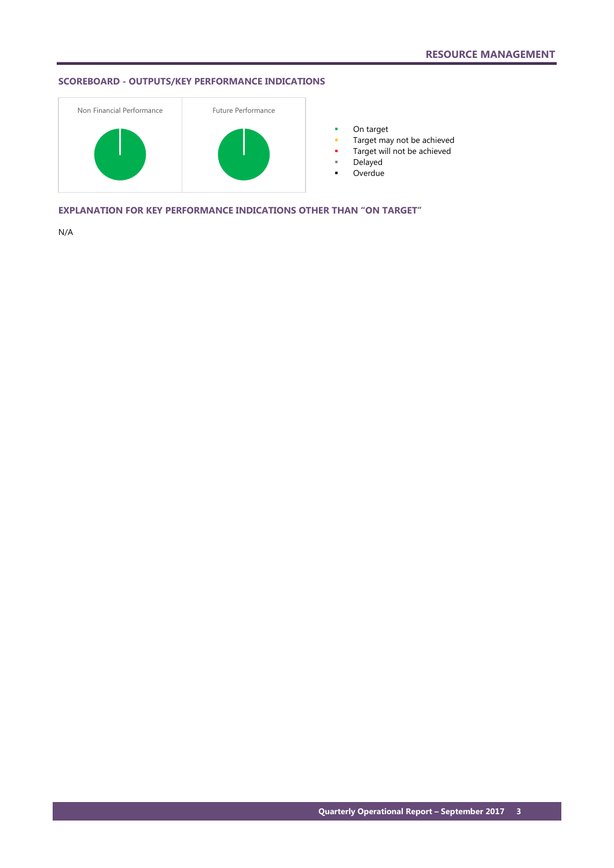## **SCOREBOARD - OUTPUTS/KEY PERFORMANCE INDICATIONS**



**•** On target

- **Target may not be achieved**
- **Target will not be achieved**
- Delayed
- Overdue

**EXPLANATION FOR KEY PERFORMANCE INDICATIONS OTHER THAN "ON TARGET"**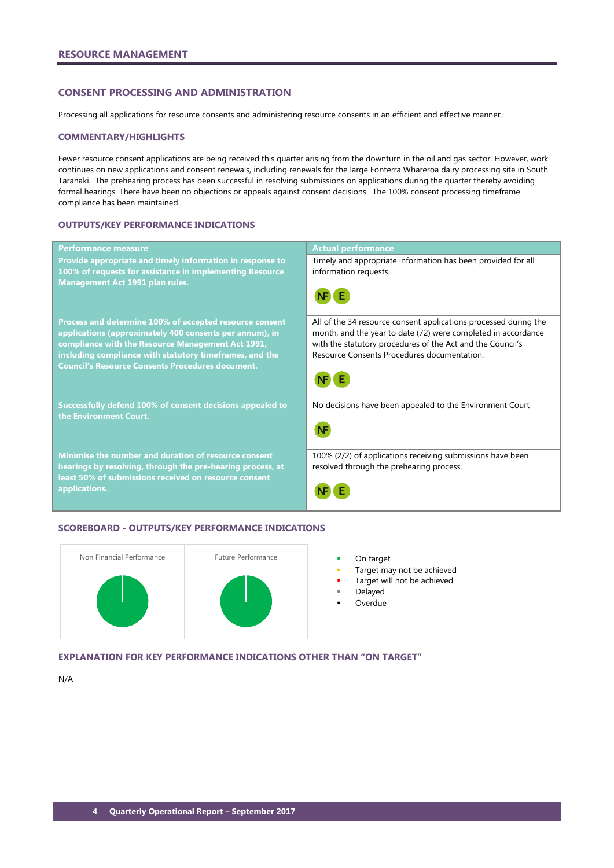## <span id="page-5-0"></span>**CONSENT PROCESSING AND ADMINISTRATION**

Processing all applications for resource consents and administering resource consents in an efficient and effective manner.

### **COMMENTARY/HIGHLIGHTS**

Fewer resource consent applications are being received this quarter arising from the downturn in the oil and gas sector. However, work continues on new applications and consent renewals, including renewals for the large Fonterra Whareroa dairy processing site in South Taranaki. The prehearing process has been successful in resolving submissions on applications during the quarter thereby avoiding formal hearings. There have been no objections or appeals against consent decisions. The 100% consent processing timeframe compliance has been maintained.

### **OUTPUTS/KEY PERFORMANCE INDICATIONS**

| <b>Performance measure</b>                                                                                                                                                                                                                                                                    | <b>Actual performance</b>                                                                                                                                                                                                                      |
|-----------------------------------------------------------------------------------------------------------------------------------------------------------------------------------------------------------------------------------------------------------------------------------------------|------------------------------------------------------------------------------------------------------------------------------------------------------------------------------------------------------------------------------------------------|
| Provide appropriate and timely information in response to<br>100% of requests for assistance in implementing Resource<br><b>Management Act 1991 plan rules.</b>                                                                                                                               | Timely and appropriate information has been provided for all<br>information requests.                                                                                                                                                          |
| Process and determine 100% of accepted resource consent<br>applications (approximately 400 consents per annum), in<br>compliance with the Resource Management Act 1991,<br>including compliance with statutory timeframes, and the<br><b>Council's Resource Consents Procedures document.</b> | All of the 34 resource consent applications processed during the<br>month, and the year to date (72) were completed in accordance<br>with the statutory procedures of the Act and the Council's<br>Resource Consents Procedures documentation. |
| Successfully defend 100% of consent decisions appealed to<br>the Environment Court.                                                                                                                                                                                                           | No decisions have been appealed to the Environment Court                                                                                                                                                                                       |
| Minimise the number and duration of resource consent<br>hearings by resolving, through the pre-hearing process, at<br>least 50% of submissions received on resource consent<br>applications.                                                                                                  | 100% (2/2) of applications receiving submissions have been<br>resolved through the prehearing process.                                                                                                                                         |

### **SCOREBOARD - OUTPUTS/KEY PERFORMANCE INDICATIONS**



- 
- Target may not be achieved
- Target will not be achieved
- Delayed
- **Overdue**

**EXPLANATION FOR KEY PERFORMANCE INDICATIONS OTHER THAN "ON TARGET"**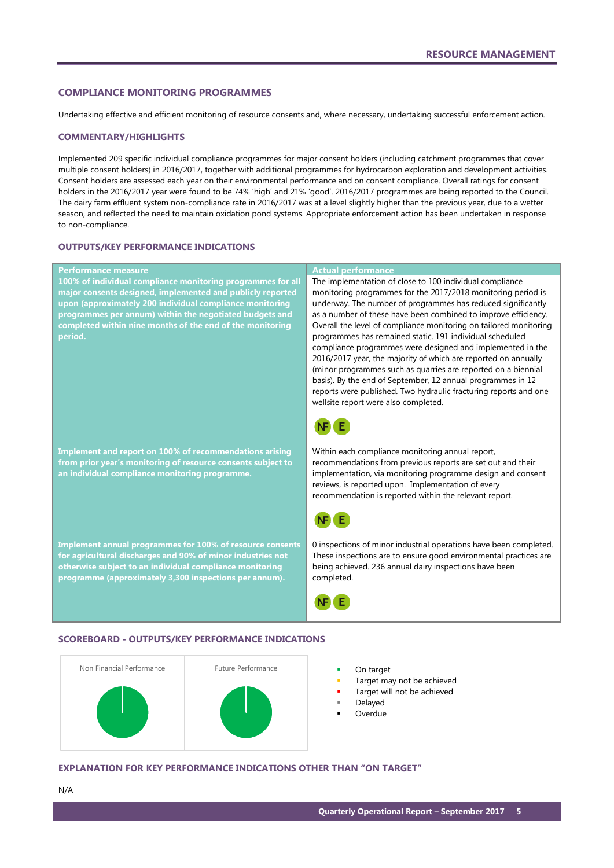### <span id="page-6-0"></span>**COMPLIANCE MONITORING PROGRAMMES**

Undertaking effective and efficient monitoring of resource consents and, where necessary, undertaking successful enforcement action.

### **COMMENTARY/HIGHLIGHTS**

Implemented 209 specific individual compliance programmes for major consent holders (including catchment programmes that cover multiple consent holders) in 2016/2017, together with additional programmes for hydrocarbon exploration and development activities. Consent holders are assessed each year on their environmental performance and on consent compliance. Overall ratings for consent holders in the 2016/2017 year were found to be 74% 'high' and 21% 'good'. 2016/2017 programmes are being reported to the Council. The dairy farm effluent system non-compliance rate in 2016/2017 was at a level slightly higher than the previous year, due to a wetter season, and reflected the need to maintain oxidation pond systems. Appropriate enforcement action has been undertaken in response to non-compliance.

### **OUTPUTS/KEY PERFORMANCE INDICATIONS**

| <b>Performance measure</b>                                   | <b>Actual performance</b>                                                                                                       |
|--------------------------------------------------------------|---------------------------------------------------------------------------------------------------------------------------------|
| 100% of individual compliance monitoring programmes for all  | The implementation of close to 100 individual compliance                                                                        |
| major consents designed, implemented and publicly reported   | monitoring programmes for the 2017/2018 monitoring period is                                                                    |
| upon (approximately 200 individual compliance monitoring     | underway. The number of programmes has reduced significantly                                                                    |
| programmes per annum) within the negotiated budgets and      | as a number of these have been combined to improve efficiency.                                                                  |
| completed within nine months of the end of the monitoring    | Overall the level of compliance monitoring on tailored monitoring                                                               |
| period.                                                      | programmes has remained static. 191 individual scheduled                                                                        |
|                                                              | compliance programmes were designed and implemented in the                                                                      |
|                                                              | 2016/2017 year, the majority of which are reported on annually                                                                  |
|                                                              | (minor programmes such as quarries are reported on a biennial                                                                   |
|                                                              | basis). By the end of September, 12 annual programmes in 12<br>reports were published. Two hydraulic fracturing reports and one |
|                                                              | wellsite report were also completed.                                                                                            |
|                                                              |                                                                                                                                 |
|                                                              |                                                                                                                                 |
| Implement and report on 100% of recommendations arising      | Within each compliance monitoring annual report,                                                                                |
| from prior year's monitoring of resource consents subject to | recommendations from previous reports are set out and their                                                                     |
| an individual compliance monitoring programme.               | implementation, via monitoring programme design and consent                                                                     |
|                                                              | reviews, is reported upon. Implementation of every                                                                              |
|                                                              | recommendation is reported within the relevant report.                                                                          |
|                                                              |                                                                                                                                 |
|                                                              |                                                                                                                                 |
| Implement annual programmes for 100% of resource consents    | 0 inspections of minor industrial operations have been completed.                                                               |
| for agricultural discharges and 90% of minor industries not  | These inspections are to ensure good environmental practices are                                                                |
| otherwise subject to an individual compliance monitoring     | being achieved. 236 annual dairy inspections have been                                                                          |
| programme (approximately 3,300 inspections per annum).       | completed.                                                                                                                      |
|                                                              |                                                                                                                                 |
|                                                              |                                                                                                                                 |

### **SCOREBOARD - OUTPUTS/KEY PERFORMANCE INDICATIONS**



- 
- Target may not be achieved
- Target will not be achieved
- Delayed
- Overdue

### **EXPLANATION FOR KEY PERFORMANCE INDICATIONS OTHER THAN "ON TARGET"**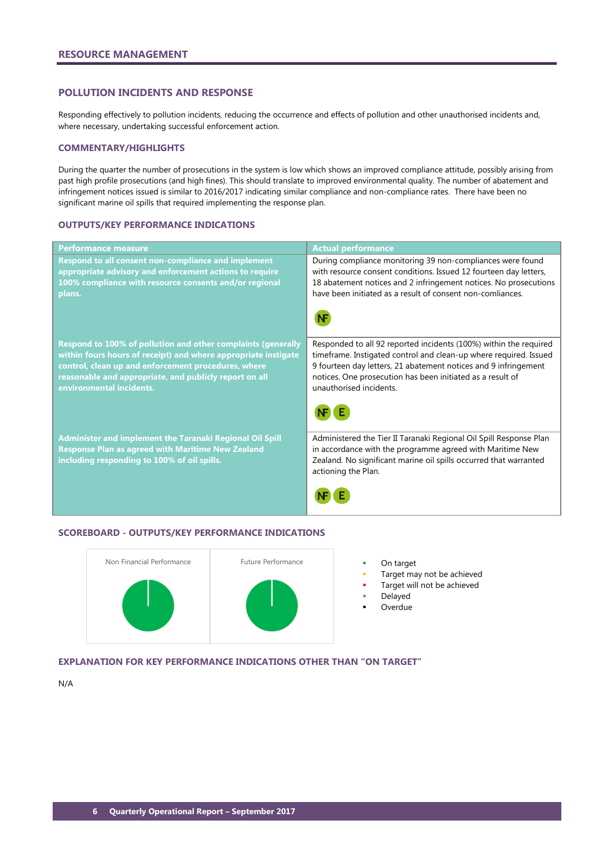### <span id="page-7-0"></span>**POLLUTION INCIDENTS AND RESPONSE**

Responding effectively to pollution incidents, reducing the occurrence and effects of pollution and other unauthorised incidents and, where necessary, undertaking successful enforcement action.

### **COMMENTARY/HIGHLIGHTS**

During the quarter the number of prosecutions in the system is low which shows an improved compliance attitude, possibly arising from past high profile prosecutions (and high fines). This should translate to improved environmental quality. The number of abatement and infringement notices issued is similar to 2016/2017 indicating similar compliance and non-compliance rates. There have been no significant marine oil spills that required implementing the response plan.

### **OUTPUTS/KEY PERFORMANCE INDICATIONS**

| <b>Performance measure</b>                                                                                                                                                                                                                                                  | <b>Actual performance</b>                                                                                                                                                                                                                                                                          |
|-----------------------------------------------------------------------------------------------------------------------------------------------------------------------------------------------------------------------------------------------------------------------------|----------------------------------------------------------------------------------------------------------------------------------------------------------------------------------------------------------------------------------------------------------------------------------------------------|
| Respond to all consent non-compliance and implement<br>appropriate advisory and enforcement actions to require<br>100% compliance with resource consents and/or regional<br>plans.                                                                                          | During compliance monitoring 39 non-compliances were found<br>with resource consent conditions. Issued 12 fourteen day letters,<br>18 abatement notices and 2 infringement notices. No prosecutions<br>have been initiated as a result of consent non-comliances.                                  |
|                                                                                                                                                                                                                                                                             |                                                                                                                                                                                                                                                                                                    |
| Respond to 100% of pollution and other complaints (generally<br>within fours hours of receipt) and where appropriate instigate<br>control, clean up and enforcement procedures, where<br>reasonable and appropriate, and publicly report on all<br>environmental incidents. | Responded to all 92 reported incidents (100%) within the required<br>timeframe. Instigated control and clean-up where required. Issued<br>9 fourteen day letters, 21 abatement notices and 9 infringement<br>notices. One prosecution has been initiated as a result of<br>unauthorised incidents. |
|                                                                                                                                                                                                                                                                             |                                                                                                                                                                                                                                                                                                    |
| <b>Administer and implement the Taranaki Regional Oil Spill</b><br><b>Response Plan as agreed with Maritime New Zealand</b><br>including responding to 100% of oil spills.                                                                                                  | Administered the Tier II Taranaki Regional Oil Spill Response Plan<br>in accordance with the programme agreed with Maritime New<br>Zealand. No significant marine oil spills occurred that warranted<br>actioning the Plan.                                                                        |
|                                                                                                                                                                                                                                                                             |                                                                                                                                                                                                                                                                                                    |

### **SCOREBOARD - OUTPUTS/KEY PERFORMANCE INDICATIONS**



- Target may not be achieved
- Target will not be achieved
- Delayed
- Overdue

## **EXPLANATION FOR KEY PERFORMANCE INDICATIONS OTHER THAN "ON TARGET"**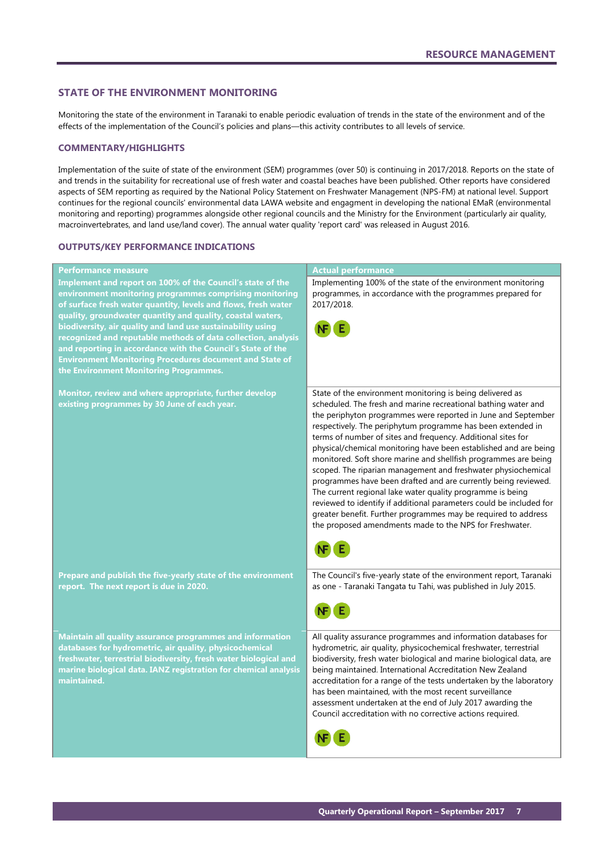### <span id="page-8-0"></span>**STATE OF THE ENVIRONMENT MONITORING**

Monitoring the state of the environment in Taranaki to enable periodic evaluation of trends in the state of the environment and of the effects of the implementation of the Council's policies and plans—this activity contributes to all levels of service.

### **COMMENTARY/HIGHLIGHTS**

Implementation of the suite of state of the environment (SEM) programmes (over 50) is continuing in 2017/2018. Reports on the state of and trends in the suitability for recreational use of fresh water and coastal beaches have been published. Other reports have considered aspects of SEM reporting as required by the National Policy Statement on Freshwater Management (NPS-FM) at national level. Support continues for the regional councils' environmental data LAWA website and engagment in developing the national EMaR (environmental monitoring and reporting) programmes alongside other regional councils and the Ministry for the Environment (particularly air quality, macroinvertebrates, and land use/land cover). The annual water quality 'report card' was released in August 2016.

### **OUTPUTS/KEY PERFORMANCE INDICATIONS**

### **Performance measure Actual performance Actual performance Implement and report on 100% of the Council's state of the**  Implementing 100% of the state of the environment monitoring programmes, in accordance with the programmes prepared for **environment monitoring programmes comprising monitoring**  2017/2018. **of surface fresh water quantity, levels and flows, fresh water quality, groundwater quantity and quality, coastal waters, biodiversity, air quality and land use sustainability using recognized and reputable methods of data collection, analysis and reporting in accordance with the Council's State of the Environment Monitoring Procedures document and State of the Environment Monitoring Programmes.** State of the environment monitoring is being delivered as **Monitor, review and where appropriate, further develop**  scheduled. The fresh and marine recreational bathing water and **existing programmes by 30 June of each year.** the periphyton programmes were reported in June and September respectively. The periphytum programme has been extended in terms of number of sites and frequency. Additional sites for physical/chemical monitoring have been established and are being monitored. Soft shore marine and shellfish programmes are being scoped. The riparian management and freshwater physiochemical programmes have been drafted and are currently being reviewed. The current regional lake water quality programme is being reviewed to identify if additional parameters could be included for greater benefit. Further programmes may be required to address the proposed amendments made to the NPS for Freshwater. NF E **Prepare and publish the five-yearly state of the environment**  The Council's five-yearly state of the environment report, Taranaki **report. The next report is due in 2020.** as one - Taranaki Tangata tu Tahi, was published in July 2015. All quality assurance programmes and information databases for **Maintain all quality assurance programmes and information**  hydrometric, air quality, physicochemical freshwater, terrestrial **databases for hydrometric, air quality, physicochemical**  biodiversity, fresh water biological and marine biological data, are **freshwater, terrestrial biodiversity, fresh water biological and**  being maintained. International Accreditation New Zealand **marine biological data. IANZ registration for chemical analysis maintained.** accreditation for a range of the tests undertaken by the laboratory has been maintained, with the most recent surveillance assessment undertaken at the end of July 2017 awarding the Council accreditation with no corrective actions required.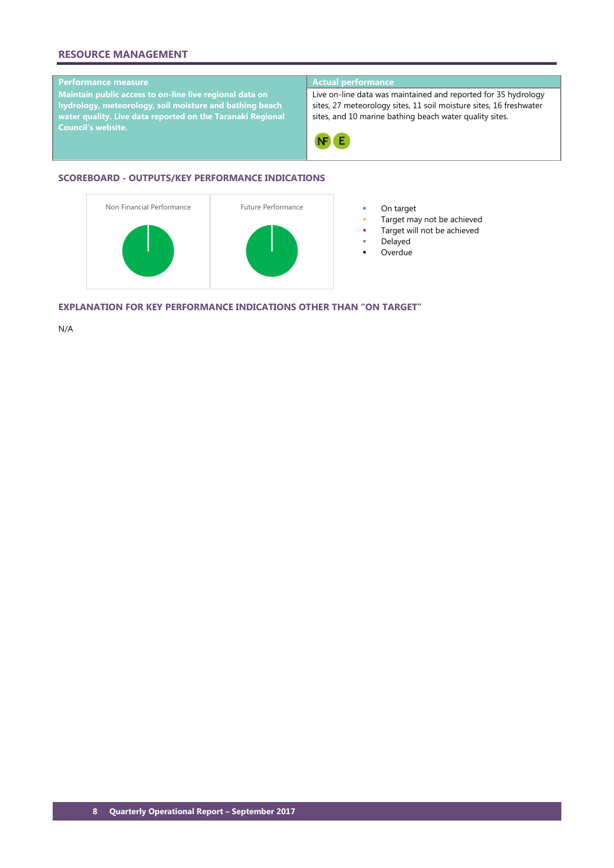## **RESOURCE MANAGEMENT**

## **Performance measure Actual performance**

**Maintain public access to on-line live regional data on hydrology, meteorology, soil moisture and bathing beach water quality. Live data reported on the Taranaki Regional Council's website.**

Live on-line data was maintained and reported for 35 hydrology sites, 27 meteorology sites, 11 soil moisture sites, 16 freshwater sites, and 10 marine bathing beach water quality sites.



## **SCOREBOARD - OUTPUTS/KEY PERFORMANCE INDICATIONS**



- 
- Target may not be achieved
- Target will not be achieved
- Delayed
- **Overdue**

**EXPLANATION FOR KEY PERFORMANCE INDICATIONS OTHER THAN "ON TARGET"**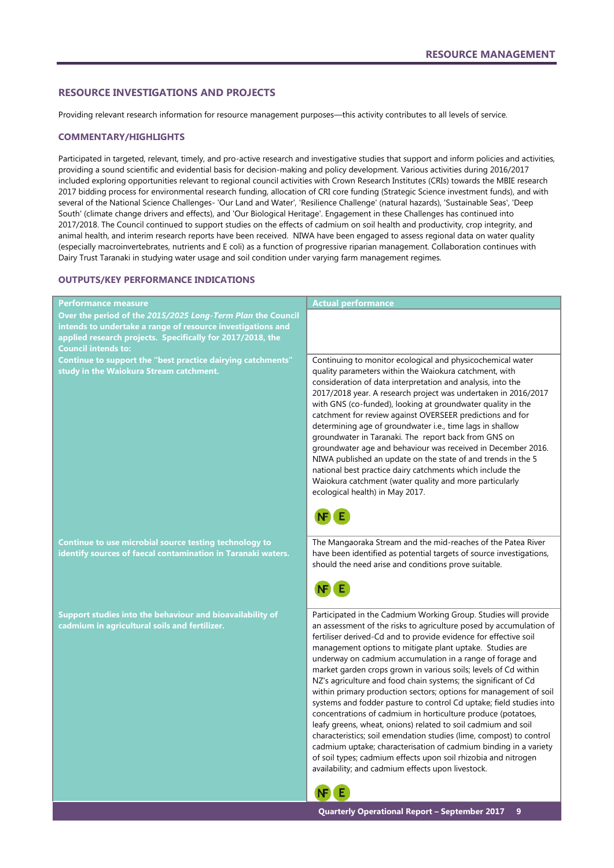### <span id="page-10-0"></span>**RESOURCE INVESTIGATIONS AND PROJECTS**

Providing relevant research information for resource management purposes—this activity contributes to all levels of service.

### **COMMENTARY/HIGHLIGHTS**

Participated in targeted, relevant, timely, and pro-active research and investigative studies that support and inform policies and activities, providing a sound scientific and evidential basis for decision-making and policy development. Various activities during 2016/2017 included exploring opportunities relevant to regional council activities with Crown Research Institutes (CRIs) towards the MBIE research 2017 bidding process for environmental research funding, allocation of CRI core funding (Strategic Science investment funds), and with several of the National Science Challenges- 'Our Land and Water', 'Resilience Challenge' (natural hazards), 'Sustainable Seas', 'Deep South' (climate change drivers and effects), and 'Our Biological Heritage'. Engagement in these Challenges has continued into 2017/2018. The Council continued to support studies on the effects of cadmium on soil health and productivity, crop integrity, and animal health, and interim research reports have been received. NIWA have been engaged to assess regional data on water quality (especially macroinvertebrates, nutrients and E coli) as a function of progressive riparian management. Collaboration continues with Dairy Trust Taranaki in studying water usage and soil condition under varying farm management regimes.

### **OUTPUTS/KEY PERFORMANCE INDICATIONS**

| <b>Performance measure</b>                                                                                                                                                                                             | <b>Actual performance</b>                                                                                                                                                                                                                                                                                                                                                                                                                                                                                                                                                                                                                                                                                                                                                                                                                                                                                                                                                                                              |
|------------------------------------------------------------------------------------------------------------------------------------------------------------------------------------------------------------------------|------------------------------------------------------------------------------------------------------------------------------------------------------------------------------------------------------------------------------------------------------------------------------------------------------------------------------------------------------------------------------------------------------------------------------------------------------------------------------------------------------------------------------------------------------------------------------------------------------------------------------------------------------------------------------------------------------------------------------------------------------------------------------------------------------------------------------------------------------------------------------------------------------------------------------------------------------------------------------------------------------------------------|
| Over the period of the 2015/2025 Long-Term Plan the Council<br>intends to undertake a range of resource investigations and<br>applied research projects. Specifically for 2017/2018, the<br><b>Council intends to:</b> |                                                                                                                                                                                                                                                                                                                                                                                                                                                                                                                                                                                                                                                                                                                                                                                                                                                                                                                                                                                                                        |
| Continue to support the "best practice dairying catchments"<br>study in the Waiokura Stream catchment.                                                                                                                 | Continuing to monitor ecological and physicochemical water<br>quality parameters within the Waiokura catchment, with<br>consideration of data interpretation and analysis, into the<br>2017/2018 year. A research project was undertaken in 2016/2017<br>with GNS (co-funded), looking at groundwater quality in the<br>catchment for review against OVERSEER predictions and for<br>determining age of groundwater i.e., time lags in shallow<br>groundwater in Taranaki. The report back from GNS on<br>groundwater age and behaviour was received in December 2016.<br>NIWA published an update on the state of and trends in the 5<br>national best practice dairy catchments which include the<br>Waiokura catchment (water quality and more particularly<br>ecological health) in May 2017.                                                                                                                                                                                                                      |
| Continue to use microbial source testing technology to<br>identify sources of faecal contamination in Taranaki waters.                                                                                                 | The Mangaoraka Stream and the mid-reaches of the Patea River<br>have been identified as potential targets of source investigations,<br>should the need arise and conditions prove suitable.                                                                                                                                                                                                                                                                                                                                                                                                                                                                                                                                                                                                                                                                                                                                                                                                                            |
| Support studies into the behaviour and bioavailability of<br>cadmium in agricultural soils and fertilizer.                                                                                                             | Participated in the Cadmium Working Group. Studies will provide<br>an assessment of the risks to agriculture posed by accumulation of<br>fertiliser derived-Cd and to provide evidence for effective soil<br>management options to mitigate plant uptake. Studies are<br>underway on cadmium accumulation in a range of forage and<br>market garden crops grown in various soils; levels of Cd within<br>NZ's agriculture and food chain systems; the significant of Cd<br>within primary production sectors; options for management of soil<br>systems and fodder pasture to control Cd uptake; field studies into<br>concentrations of cadmium in horticulture produce (potatoes,<br>leafy greens, wheat, onions) related to soil cadmium and soil<br>characteristics; soil emendation studies (lime, compost) to control<br>cadmium uptake; characterisation of cadmium binding in a variety<br>of soil types; cadmium effects upon soil rhizobia and nitrogen<br>availability; and cadmium effects upon livestock. |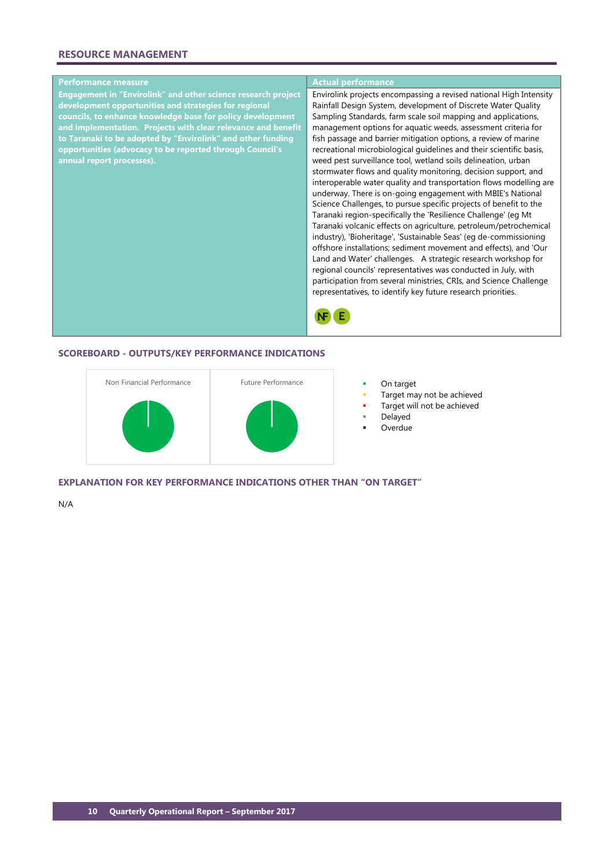## **RESOURCE MANAGEMENT**

## **Performance measure Actual performance**

**Engagement in "Envirolink" and other science research project development opportunities and strategies for regional councils, to enhance knowledge base for policy development and implementation. Projects with clear relevance and benefit to Taranaki to be adopted by "Envirolink" and other funding opportunities (advocacy to be reported through Council's annual report processes).**

Envirolink projects encompassing a revised national High Intensity Rainfall Design System, development of Discrete Water Quality Sampling Standards, farm scale soil mapping and applications, management options for aquatic weeds, assessment criteria for fish passage and barrier mitigation options, a review of marine recreational microbiological guidelines and their scientific basis, weed pest surveillance tool, wetland soils delineation, urban stormwater flows and quality monitoring, decision support, and interoperable water quality and transportation flows modelling are underway. There is on-going engagement with MBIE's National Science Challenges, to pursue specific projects of benefit to the Taranaki region-specifically the 'Resilience Challenge' (eg Mt Taranaki volcanic effects on agriculture, petroleum/petrochemical industry), 'Bioheritage', 'Sustainable Seas' (eg de-commissioning offshore installations; sediment movement and effects), and 'Our Land and Water' challenges. A strategic research workshop for regional councils' representatives was conducted in July, with participation from several ministries, CRIs, and Science Challenge representatives, to identify key future research priorities.



### **SCOREBOARD - OUTPUTS/KEY PERFORMANCE INDICATIONS**



- 
- Target may not be achieved
- Target will not be achieved
- Delayed
- Overdue

**EXPLANATION FOR KEY PERFORMANCE INDICATIONS OTHER THAN "ON TARGET"**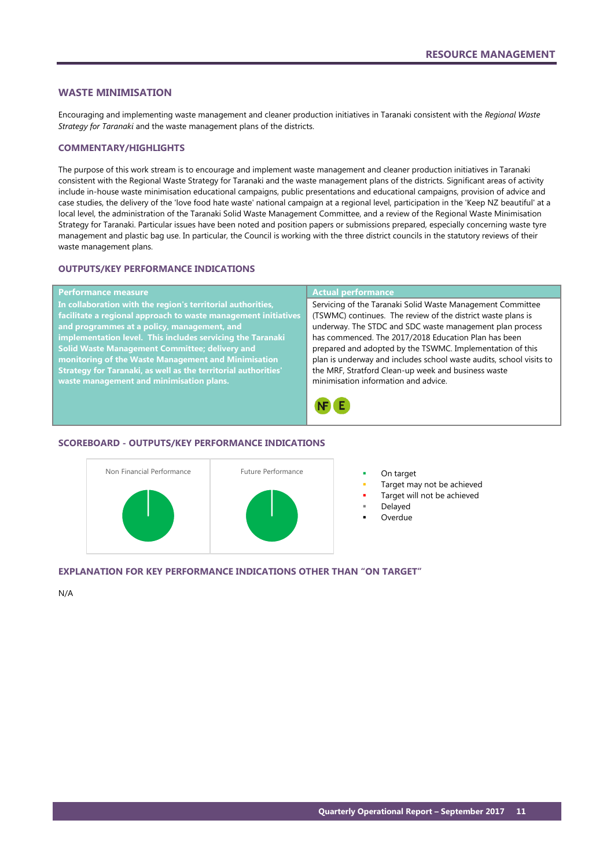### <span id="page-12-0"></span>**WASTE MINIMISATION**

Encouraging and implementing waste management and cleaner production initiatives in Taranaki consistent with the *Regional Waste Strategy for Taranaki* and the waste management plans of the districts.

### **COMMENTARY/HIGHLIGHTS**

The purpose of this work stream is to encourage and implement waste management and cleaner production initiatives in Taranaki consistent with the Regional Waste Strategy for Taranaki and the waste management plans of the districts. Significant areas of activity include in-house waste minimisation educational campaigns, public presentations and educational campaigns, provision of advice and case studies, the delivery of the 'love food hate waste' national campaign at a regional level, participation in the 'Keep NZ beautiful' at a local level, the administration of the Taranaki Solid Waste Management Committee, and a review of the Regional Waste Minimisation Strategy for Taranaki. Particular issues have been noted and position papers or submissions prepared, especially concerning waste tyre management and plastic bag use. In particular, the Council is working with the three district councils in the statutory reviews of their waste management plans.

## **OUTPUTS/KEY PERFORMANCE INDICATIONS**

| <b>Performance measure</b>                                            | <b>Actual performance</b>                                           |
|-----------------------------------------------------------------------|---------------------------------------------------------------------|
| In collaboration with the region's territorial authorities,           | Servicing of the Taranaki Solid Waste Management Committee          |
| facilitate a regional approach to waste management initiatives        | (TSWMC) continues. The review of the district waste plans is        |
| and programmes at a policy, management, and                           | underway. The STDC and SDC waste management plan process            |
| implementation level. This includes servicing the Taranaki            | has commenced. The 2017/2018 Education Plan has been                |
| Solid Waste Management Committee; delivery and                        | prepared and adopted by the TSWMC. Implementation of this           |
| monitoring of the Waste Management and Minimisation                   | plan is underway and includes school waste audits, school visits to |
| <b>Strategy for Taranaki, as well as the territorial authorities'</b> | the MRF, Stratford Clean-up week and business waste                 |
| waste management and minimisation plans.                              | minimisation information and advice.                                |
|                                                                       |                                                                     |

**NF** E

### **SCOREBOARD - OUTPUTS/KEY PERFORMANCE INDICATIONS**



- 
- Target may not be achieved
- Target will not be achieved
- Delayed
- Overdue

## **EXPLANATION FOR KEY PERFORMANCE INDICATIONS OTHER THAN "ON TARGET"**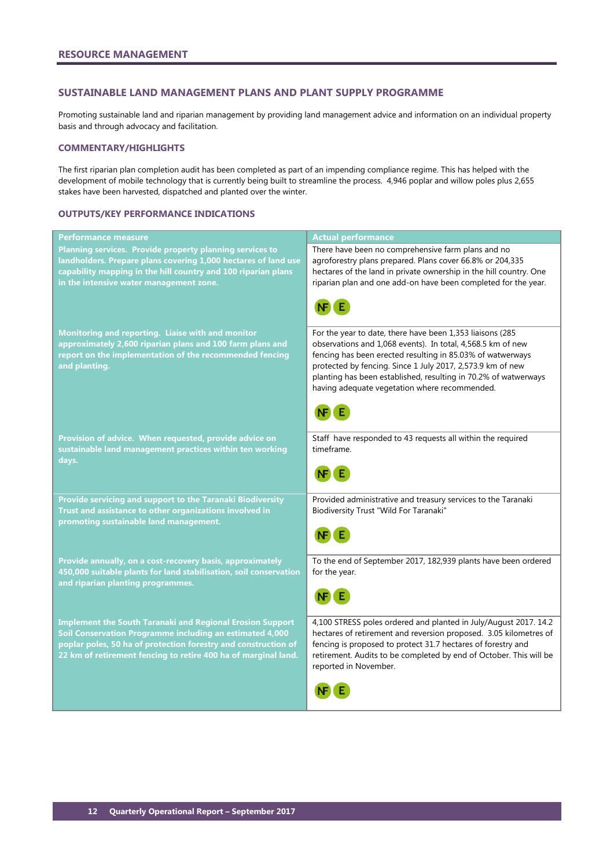### <span id="page-13-0"></span>**SUSTAINABLE LAND MANAGEMENT PLANS AND PLANT SUPPLY PROGRAMME**

Promoting sustainable land and riparian management by providing land management advice and information on an individual property basis and through advocacy and facilitation.

### **COMMENTARY/HIGHLIGHTS**

The first riparian plan completion audit has been completed as part of an impending compliance regime. This has helped with the development of mobile technology that is currently being built to streamline the process. 4,946 poplar and willow poles plus 2,655 stakes have been harvested, dispatched and planted over the winter.

### **OUTPUTS/KEY PERFORMANCE INDICATIONS**

| Performance measure                                                                                                                                                                                                                                              | <b>Actual performance</b>                                                                                                                                                                                                                                                                                                                                                |
|------------------------------------------------------------------------------------------------------------------------------------------------------------------------------------------------------------------------------------------------------------------|--------------------------------------------------------------------------------------------------------------------------------------------------------------------------------------------------------------------------------------------------------------------------------------------------------------------------------------------------------------------------|
| Planning services. Provide property planning services to<br>landholders. Prepare plans covering 1,000 hectares of land use<br>capability mapping in the hill country and 100 riparian plans<br>in the intensive water management zone.                           | There have been no comprehensive farm plans and no<br>agroforestry plans prepared. Plans cover 66.8% or 204,335<br>hectares of the land in private ownership in the hill country. One<br>riparian plan and one add-on have been completed for the year.                                                                                                                  |
| Monitoring and reporting. Liaise with and monitor<br>approximately 2,600 riparian plans and 100 farm plans and<br>report on the implementation of the recommended fencing<br>and planting.                                                                       | For the year to date, there have been 1,353 liaisons (285<br>observations and 1,068 events). In total, 4,568.5 km of new<br>fencing has been erected resulting in 85.03% of watwerways<br>protected by fencing. Since 1 July 2017, 2,573.9 km of new<br>planting has been established, resulting in 70.2% of watwerways<br>having adequate vegetation where recommended. |
| Provision of advice. When requested, provide advice on<br>sustainable land management practices within ten working<br>days.                                                                                                                                      | Staff have responded to 43 requests all within the required<br>timeframe.                                                                                                                                                                                                                                                                                                |
| Provide servicing and support to the Taranaki Biodiversity<br>Trust and assistance to other organizations involved in<br>promoting sustainable land management.                                                                                                  | Provided administrative and treasury services to the Taranaki<br>Biodiversity Trust "Wild For Taranaki"                                                                                                                                                                                                                                                                  |
| Provide annually, on a cost-recovery basis, approximately<br>450,000 suitable plants for land stabilisation, soil conservation<br>and riparian planting programmes.                                                                                              | To the end of September 2017, 182,939 plants have been ordered<br>for the year.                                                                                                                                                                                                                                                                                          |
| <b>Implement the South Taranaki and Regional Erosion Support</b><br>Soil Conservation Programme including an estimated 4,000<br>poplar poles, 50 ha of protection forestry and construction of<br>22 km of retirement fencing to retire 400 ha of marginal land. | 4,100 STRESS poles ordered and planted in July/August 2017. 14.2<br>hectares of retirement and reversion proposed. 3.05 kilometres of<br>fencing is proposed to protect 31.7 hectares of forestry and<br>retirement. Audits to be completed by end of October. This will be<br>reported in November.                                                                     |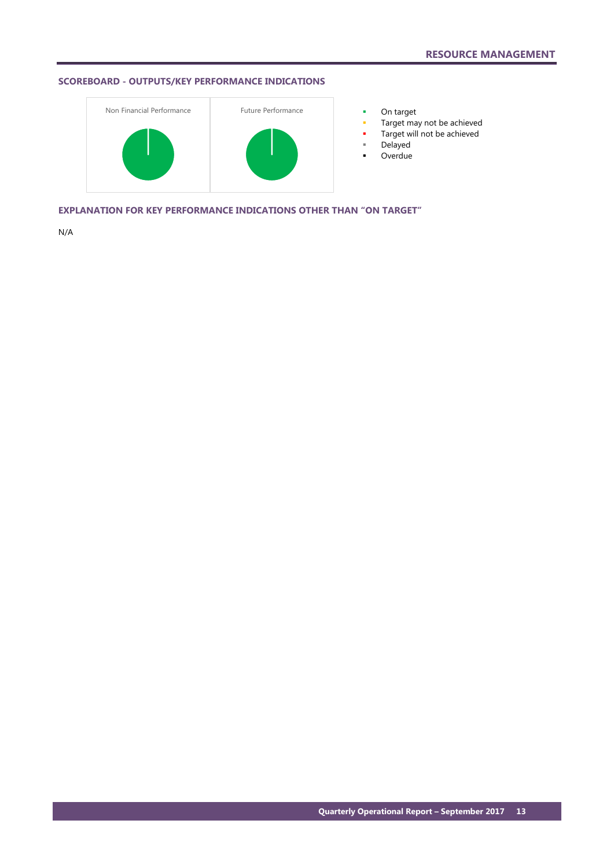## **SCOREBOARD - OUTPUTS/KEY PERFORMANCE INDICATIONS**



- 
- Target may not be achieved
- Target will not be achieved
- Delayed
- **D**verdue

**EXPLANATION FOR KEY PERFORMANCE INDICATIONS OTHER THAN "ON TARGET"**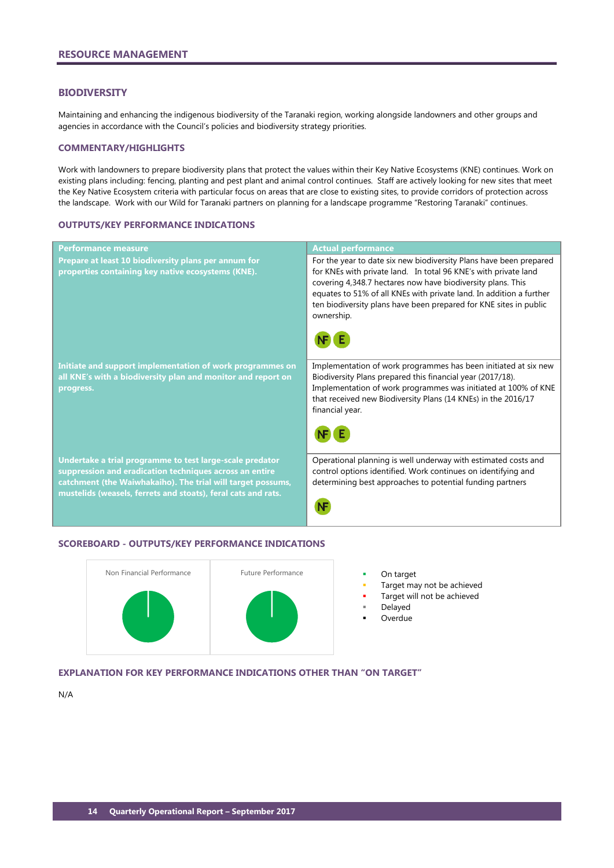### <span id="page-15-0"></span>**BIODIVERSITY**

Maintaining and enhancing the indigenous biodiversity of the Taranaki region, working alongside landowners and other groups and agencies in accordance with the Council's policies and biodiversity strategy priorities.

### **COMMENTARY/HIGHLIGHTS**

Work with landowners to prepare biodiversity plans that protect the values within their Key Native Ecosystems (KNE) continues. Work on existing plans including: fencing, planting and pest plant and animal control continues. Staff are actively looking for new sites that meet the Key Native Ecosystem criteria with particular focus on areas that are close to existing sites, to provide corridors of protection across the landscape. Work with our Wild for Taranaki partners on planning for a landscape programme "Restoring Taranaki" continues.

### **OUTPUTS/KEY PERFORMANCE INDICATIONS**

| <b>Performance measure</b>                                                                                                                                                                                                                          | <b>Actual performance</b>                                                                                                                                                                                                                                                                                                                                      |
|-----------------------------------------------------------------------------------------------------------------------------------------------------------------------------------------------------------------------------------------------------|----------------------------------------------------------------------------------------------------------------------------------------------------------------------------------------------------------------------------------------------------------------------------------------------------------------------------------------------------------------|
| Prepare at least 10 biodiversity plans per annum for<br>properties containing key native ecosystems (KNE).                                                                                                                                          | For the year to date six new biodiversity Plans have been prepared<br>for KNEs with private land. In total 96 KNE's with private land<br>covering 4,348.7 hectares now have biodiversity plans. This<br>equates to 51% of all KNEs with private land. In addition a further<br>ten biodiversity plans have been prepared for KNE sites in public<br>ownership. |
| Initiate and support implementation of work programmes on<br>all KNE's with a biodiversity plan and monitor and report on<br>progress.                                                                                                              | Implementation of work programmes has been initiated at six new<br>Biodiversity Plans prepared this financial year (2017/18).<br>Implementation of work programmes was initiated at 100% of KNE<br>that received new Biodiversity Plans (14 KNEs) in the 2016/17<br>financial year.                                                                            |
| Undertake a trial programme to test large-scale predator<br>suppression and eradication techniques across an entire<br>catchment (the Waiwhakaiho). The trial will target possums,<br>mustelids (weasels, ferrets and stoats), feral cats and rats. | Operational planning is well underway with estimated costs and<br>control options identified. Work continues on identifying and<br>determining best approaches to potential funding partners                                                                                                                                                                   |

### **SCOREBOARD - OUTPUTS/KEY PERFORMANCE INDICATIONS**



- 
- Target may not be achieved
- Target will not be achieved
- Delayed
- Overdue

### **EXPLANATION FOR KEY PERFORMANCE INDICATIONS OTHER THAN "ON TARGET"**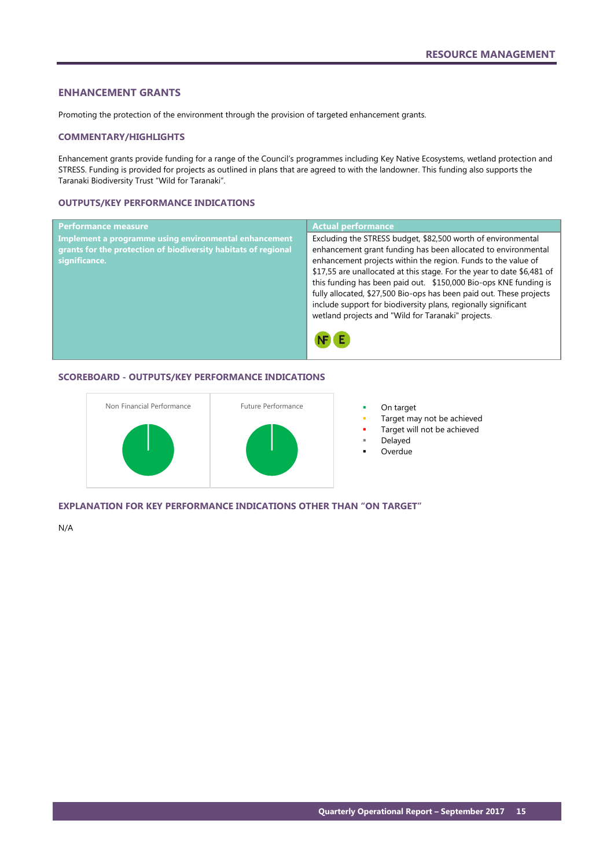### <span id="page-16-0"></span>**ENHANCEMENT GRANTS**

Promoting the protection of the environment through the provision of targeted enhancement grants.

### **COMMENTARY/HIGHLIGHTS**

Enhancement grants provide funding for a range of the Council's programmes including Key Native Ecosystems, wetland protection and STRESS. Funding is provided for projects as outlined in plans that are agreed to with the landowner. This funding also supports the Taranaki Biodiversity Trust "Wild for Taranaki".

### **OUTPUTS/KEY PERFORMANCE INDICATIONS**

| <b>Performance measure</b>                                                                                                               | <b>Actual performance</b>                                                                                                                                                                                                                                                                                                                                                                                                                                                                                                                   |
|------------------------------------------------------------------------------------------------------------------------------------------|---------------------------------------------------------------------------------------------------------------------------------------------------------------------------------------------------------------------------------------------------------------------------------------------------------------------------------------------------------------------------------------------------------------------------------------------------------------------------------------------------------------------------------------------|
| Implement a programme using environmental enhancement<br>grants for the protection of biodiversity habitats of regional<br>significance. | Excluding the STRESS budget, \$82,500 worth of environmental<br>enhancement grant funding has been allocated to environmental<br>enhancement projects within the region. Funds to the value of<br>\$17,55 are unallocated at this stage. For the year to date \$6,481 of<br>this funding has been paid out. \$150,000 Bio-ops KNE funding is<br>fully allocated, \$27,500 Bio-ops has been paid out. These projects<br>include support for biodiversity plans, regionally significant<br>wetland projects and "Wild for Taranaki" projects. |
|                                                                                                                                          |                                                                                                                                                                                                                                                                                                                                                                                                                                                                                                                                             |

### **SCOREBOARD - OUTPUTS/KEY PERFORMANCE INDICATIONS**



- 
- Target may not be achieved
- Target will not be achieved
- Delayed
- Overdue

### **EXPLANATION FOR KEY PERFORMANCE INDICATIONS OTHER THAN "ON TARGET"**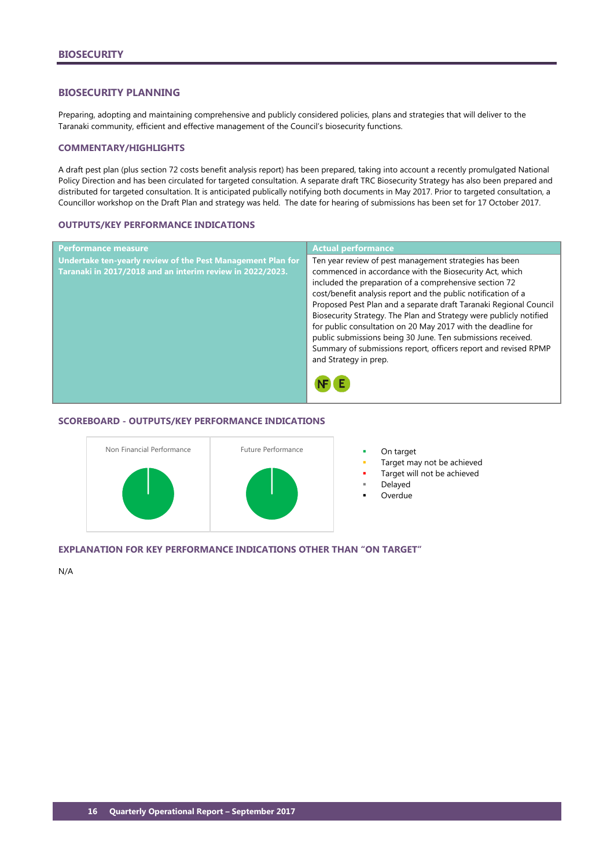## <span id="page-17-0"></span>**BIOSECURITY PLANNING**

Preparing, adopting and maintaining comprehensive and publicly considered policies, plans and strategies that will deliver to the Taranaki community, efficient and effective management of the Council's biosecurity functions.

### **COMMENTARY/HIGHLIGHTS**

A draft pest plan (plus section 72 costs benefit analysis report) has been prepared, taking into account a recently promulgated National Policy Direction and has been circulated for targeted consultation. A separate draft TRC Biosecurity Strategy has also been prepared and distributed for targeted consultation. It is anticipated publically notifying both documents in May 2017. Prior to targeted consultation, a Councillor workshop on the Draft Plan and strategy was held. The date for hearing of submissions has been set for 17 October 2017.

### **OUTPUTS/KEY PERFORMANCE INDICATIONS**

| <b>Performance measure</b>                                                                                                      | <b>Actual performance</b>                                                                                                                                                                                                                                                                                                                                                                                                                                                                                                                                                                                          |
|---------------------------------------------------------------------------------------------------------------------------------|--------------------------------------------------------------------------------------------------------------------------------------------------------------------------------------------------------------------------------------------------------------------------------------------------------------------------------------------------------------------------------------------------------------------------------------------------------------------------------------------------------------------------------------------------------------------------------------------------------------------|
| <b>Undertake ten-yearly review of the Pest Management Plan for</b><br>Taranaki in 2017/2018 and an interim review in 2022/2023. | Ten year review of pest management strategies has been<br>commenced in accordance with the Biosecurity Act, which<br>included the preparation of a comprehensive section 72<br>cost/benefit analysis report and the public notification of a<br>Proposed Pest Plan and a separate draft Taranaki Regional Council<br>Biosecurity Strategy. The Plan and Strategy were publicly notified<br>for public consultation on 20 May 2017 with the deadline for<br>public submissions being 30 June. Ten submissions received.<br>Summary of submissions report, officers report and revised RPMP<br>and Strategy in prep. |
|                                                                                                                                 |                                                                                                                                                                                                                                                                                                                                                                                                                                                                                                                                                                                                                    |

### **SCOREBOARD - OUTPUTS/KEY PERFORMANCE INDICATIONS**



- 
- Target may not be achieved
- Target will not be achieved
	- Delayed
- Overdue

### **EXPLANATION FOR KEY PERFORMANCE INDICATIONS OTHER THAN "ON TARGET"**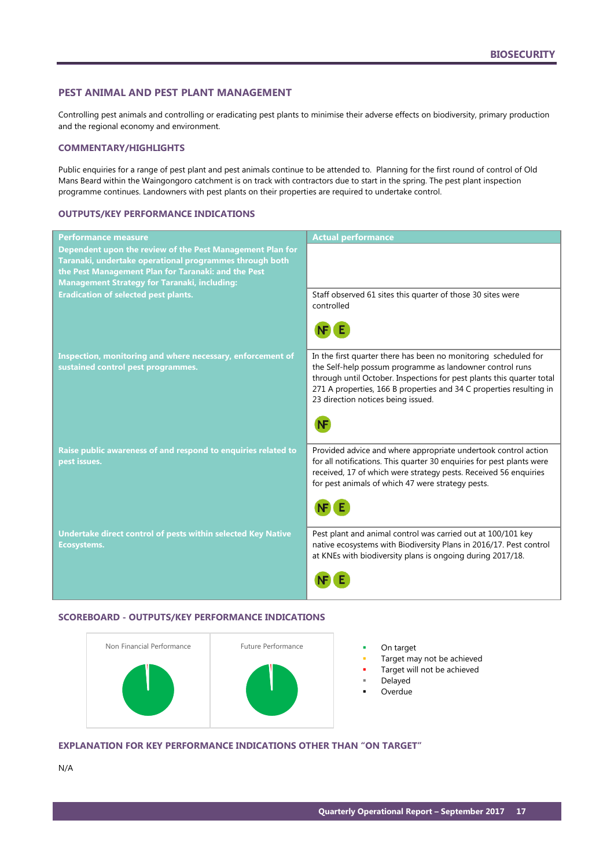### <span id="page-18-0"></span>**PEST ANIMAL AND PEST PLANT MANAGEMENT**

Controlling pest animals and controlling or eradicating pest plants to minimise their adverse effects on biodiversity, primary production and the regional economy and environment.

### **COMMENTARY/HIGHLIGHTS**

Public enquiries for a range of pest plant and pest animals continue to be attended to. Planning for the first round of control of Old Mans Beard within the Waingongoro catchment is on track with contractors due to start in the spring. The pest plant inspection programme continues. Landowners with pest plants on their properties are required to undertake control.

### **OUTPUTS/KEY PERFORMANCE INDICATIONS**

| Performance measure                                                                                                                                                                                                                | <b>Actual performance</b>                                                                                                                                                                                                                                                                                         |
|------------------------------------------------------------------------------------------------------------------------------------------------------------------------------------------------------------------------------------|-------------------------------------------------------------------------------------------------------------------------------------------------------------------------------------------------------------------------------------------------------------------------------------------------------------------|
| Dependent upon the review of the Pest Management Plan for<br>Taranaki, undertake operational programmes through both<br>the Pest Management Plan for Taranaki: and the Pest<br><b>Management Strategy for Taranaki, including:</b> |                                                                                                                                                                                                                                                                                                                   |
| <b>Eradication of selected pest plants.</b>                                                                                                                                                                                        | Staff observed 61 sites this quarter of those 30 sites were<br>controlled                                                                                                                                                                                                                                         |
|                                                                                                                                                                                                                                    |                                                                                                                                                                                                                                                                                                                   |
| Inspection, monitoring and where necessary, enforcement of<br>sustained control pest programmes.                                                                                                                                   | In the first quarter there has been no monitoring scheduled for<br>the Self-help possum programme as landowner control runs<br>through until October. Inspections for pest plants this quarter total<br>271 A properties, 166 B properties and 34 C properties resulting in<br>23 direction notices being issued. |
|                                                                                                                                                                                                                                    |                                                                                                                                                                                                                                                                                                                   |
| Raise public awareness of and respond to enquiries related to<br>pest issues.                                                                                                                                                      | Provided advice and where appropriate undertook control action<br>for all notifications. This quarter 30 enquiries for pest plants were<br>received, 17 of which were strategy pests. Received 56 enquiries<br>for pest animals of which 47 were strategy pests.                                                  |
|                                                                                                                                                                                                                                    |                                                                                                                                                                                                                                                                                                                   |
| Undertake direct control of pests within selected Key Native<br><b>Ecosystems.</b>                                                                                                                                                 | Pest plant and animal control was carried out at 100/101 key<br>native ecosystems with Biodiversity Plans in 2016/17. Pest control<br>at KNEs with biodiversity plans is ongoing during 2017/18.                                                                                                                  |
|                                                                                                                                                                                                                                    |                                                                                                                                                                                                                                                                                                                   |

## **SCOREBOARD - OUTPUTS/KEY PERFORMANCE INDICATIONS**



- 
- Target may not be achieved
- Target will not be achieved
	- Delayed
	- Overdue

## **EXPLANATION FOR KEY PERFORMANCE INDICATIONS OTHER THAN "ON TARGET"**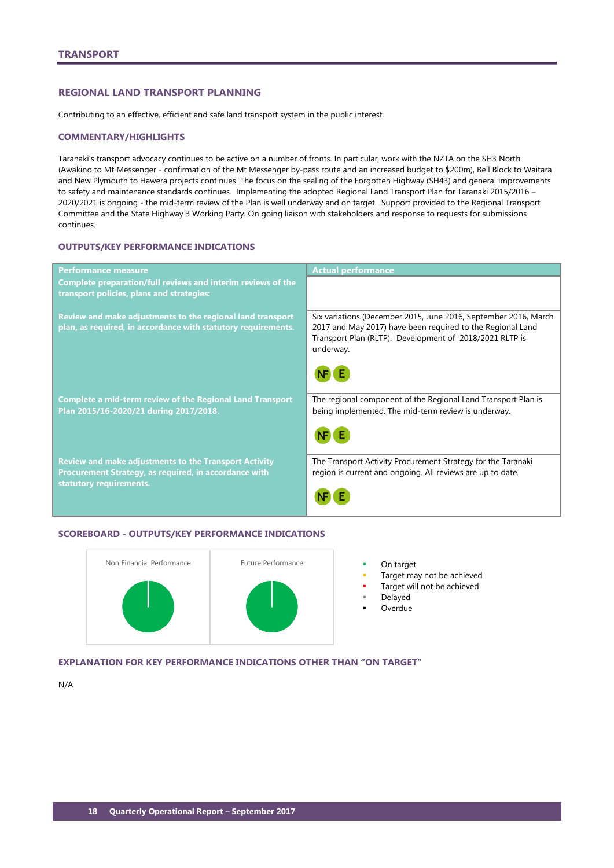### <span id="page-19-0"></span>**REGIONAL LAND TRANSPORT PLANNING**

Contributing to an effective, efficient and safe land transport system in the public interest.

### **COMMENTARY/HIGHLIGHTS**

Taranaki's transport advocacy continues to be active on a number of fronts. In particular, work with the NZTA on the SH3 North (Awakino to Mt Messenger - confirmation of the Mt Messenger by-pass route and an increased budget to \$200m), Bell Block to Waitara and New Plymouth to Hawera projects continues. The focus on the sealing of the Forgotten Highway (SH43) and general improvements to safety and maintenance standards continues. Implementing the adopted Regional Land Transport Plan for Taranaki 2015/2016 – 2020/2021 is ongoing - the mid-term review of the Plan is well underway and on target. Support provided to the Regional Transport Committee and the State Highway 3 Working Party. On going liaison with stakeholders and response to requests for submissions continues.

## **OUTPUTS/KEY PERFORMANCE INDICATIONS**

| <b>Performance measure</b>                                                                                                                       | <b>Actual performance</b>                                                                                                                                                                             |
|--------------------------------------------------------------------------------------------------------------------------------------------------|-------------------------------------------------------------------------------------------------------------------------------------------------------------------------------------------------------|
| Complete preparation/full reviews and interim reviews of the<br>transport policies, plans and strategies:                                        |                                                                                                                                                                                                       |
| Review and make adjustments to the regional land transport<br>plan, as required, in accordance with statutory requirements.                      | Six variations (December 2015, June 2016, September 2016, March<br>2017 and May 2017) have been required to the Regional Land<br>Transport Plan (RLTP). Development of 2018/2021 RLTP is<br>underway. |
|                                                                                                                                                  |                                                                                                                                                                                                       |
| <b>Complete a mid-term review of the Regional Land Transport</b><br>Plan 2015/16-2020/21 during 2017/2018.                                       | The regional component of the Regional Land Transport Plan is<br>being implemented. The mid-term review is underway.                                                                                  |
|                                                                                                                                                  |                                                                                                                                                                                                       |
| <b>Review and make adjustments to the Transport Activity</b><br>Procurement Strategy, as required, in accordance with<br>statutory requirements. | The Transport Activity Procurement Strategy for the Taranaki<br>region is current and ongoing. All reviews are up to date.                                                                            |
|                                                                                                                                                  |                                                                                                                                                                                                       |

### **SCOREBOARD - OUTPUTS/KEY PERFORMANCE INDICATIONS**



- Target may not be achieved
- Target will not be achieved
- Delayed
- Overdue

**EXPLANATION FOR KEY PERFORMANCE INDICATIONS OTHER THAN "ON TARGET"**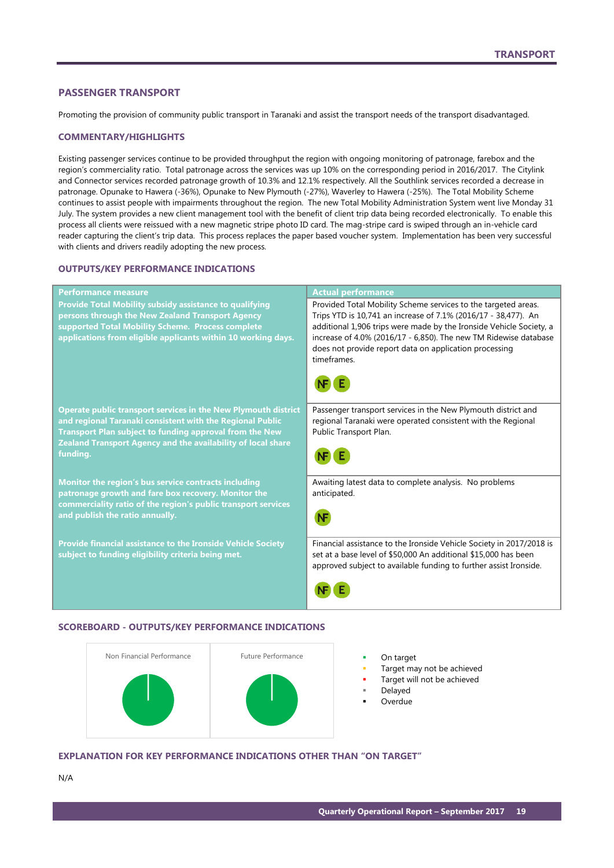## <span id="page-20-0"></span>**PASSENGER TRANSPORT**

Promoting the provision of community public transport in Taranaki and assist the transport needs of the transport disadvantaged.

### **COMMENTARY/HIGHLIGHTS**

Existing passenger services continue to be provided throughput the region with ongoing monitoring of patronage, farebox and the region's commerciality ratio. Total patronage across the services was up 10% on the corresponding period in 2016/2017. The Citylink and Connector services recorded patronage growth of 10.3% and 12.1% respectively. All the Southlink services recorded a decrease in patronage. Opunake to Hawera (-36%), Opunake to New Plymouth (-27%), Waverley to Hawera (-25%). The Total Mobility Scheme continues to assist people with impairments throughout the region. The new Total Mobility Administration System went live Monday 31 July. The system provides a new client management tool with the benefit of client trip data being recorded electronically. To enable this process all clients were reissued with a new magnetic stripe photo ID card. The mag-stripe card is swiped through an in-vehicle card reader capturing the client's trip data. This process replaces the paper based voucher system. Implementation has been very successful with clients and drivers readily adopting the new process.

### **OUTPUTS/KEY PERFORMANCE INDICATIONS**

| Performance measure                                                                                                                                                                                                                                                       | <b>Actual performance</b>                                                                                                                                                                                                                                                                                                                            |
|---------------------------------------------------------------------------------------------------------------------------------------------------------------------------------------------------------------------------------------------------------------------------|------------------------------------------------------------------------------------------------------------------------------------------------------------------------------------------------------------------------------------------------------------------------------------------------------------------------------------------------------|
| Provide Total Mobility subsidy assistance to qualifying<br>persons through the New Zealand Transport Agency<br>supported Total Mobility Scheme. Process complete<br>applications from eligible applicants within 10 working days.                                         | Provided Total Mobility Scheme services to the targeted areas.<br>Trips YTD is 10,741 an increase of 7.1% (2016/17 - 38,477). An<br>additional 1,906 trips were made by the Ironside Vehicle Society, a<br>increase of 4.0% (2016/17 - 6,850). The new TM Ridewise database<br>does not provide report data on application processing<br>timeframes. |
|                                                                                                                                                                                                                                                                           |                                                                                                                                                                                                                                                                                                                                                      |
| <b>Operate public transport services in the New Plymouth district</b><br>and regional Taranaki consistent with the Regional Public<br>Transport Plan subject to funding approval from the New<br>Zealand Transport Agency and the availability of local share<br>funding. | Passenger transport services in the New Plymouth district and<br>regional Taranaki were operated consistent with the Regional<br>Public Transport Plan.                                                                                                                                                                                              |
| Monitor the region's bus service contracts including<br>patronage growth and fare box recovery. Monitor the<br>commerciality ratio of the region's public transport services<br>and publish the ratio annually.                                                           | Awaiting latest data to complete analysis. No problems<br>anticipated.                                                                                                                                                                                                                                                                               |
| Provide financial assistance to the Ironside Vehicle Society<br>subject to funding eligibility criteria being met.                                                                                                                                                        | Financial assistance to the Ironside Vehicle Society in 2017/2018 is<br>set at a base level of \$50,000 An additional \$15,000 has been<br>approved subject to available funding to further assist Ironside.                                                                                                                                         |
|                                                                                                                                                                                                                                                                           |                                                                                                                                                                                                                                                                                                                                                      |

### **SCOREBOARD - OUTPUTS/KEY PERFORMANCE INDICATIONS**



- 
- Target may not be achieved
- Target will not be achieved
- Delayed
- Overdue

## **EXPLANATION FOR KEY PERFORMANCE INDICATIONS OTHER THAN "ON TARGET"**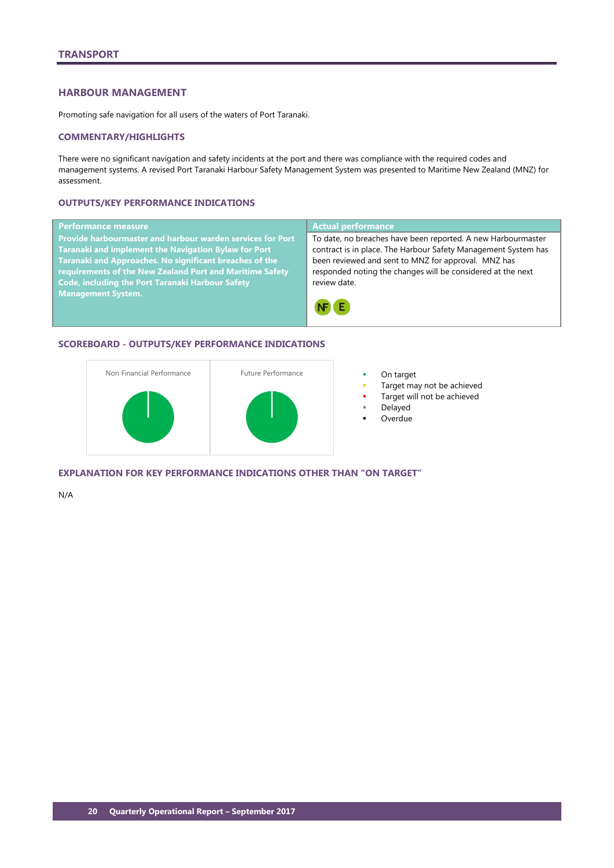## <span id="page-21-0"></span>**HARBOUR MANAGEMENT**

Promoting safe navigation for all users of the waters of Port Taranaki.

### **COMMENTARY/HIGHLIGHTS**

There were no significant navigation and safety incidents at the port and there was compliance with the required codes and management systems. A revised Port Taranaki Harbour Safety Management System was presented to Maritime New Zealand (MNZ) for assessment.

## **OUTPUTS/KEY PERFORMANCE INDICATIONS**

| <b>Performance measure</b>                                                                                                                                                                                                                                                                                         | <b>Actual performance</b>                                                                                                                                                                                                                                            |
|--------------------------------------------------------------------------------------------------------------------------------------------------------------------------------------------------------------------------------------------------------------------------------------------------------------------|----------------------------------------------------------------------------------------------------------------------------------------------------------------------------------------------------------------------------------------------------------------------|
| <b>Provide harbourmaster and harbour warden services for Port</b><br><b>Taranaki and implement the Navigation Bylaw for Port</b><br>Taranaki and Approaches. No significant breaches of the<br>requirements of the New Zealand Port and Maritime Safety<br><b>Code, including the Port Taranaki Harbour Safety</b> | To date, no breaches have been reported. A new Harbourmaster<br>contract is in place. The Harbour Safety Management System has<br>been reviewed and sent to MNZ for approval. MNZ has<br>responded noting the changes will be considered at the next<br>review date. |
| <b>Management System.</b>                                                                                                                                                                                                                                                                                          |                                                                                                                                                                                                                                                                      |

## **SCOREBOARD - OUTPUTS/KEY PERFORMANCE INDICATIONS**



- 
- Target may not be achieved
- Target will not be achieved
- Delayed
- Overdue

**EXPLANATION FOR KEY PERFORMANCE INDICATIONS OTHER THAN "ON TARGET"**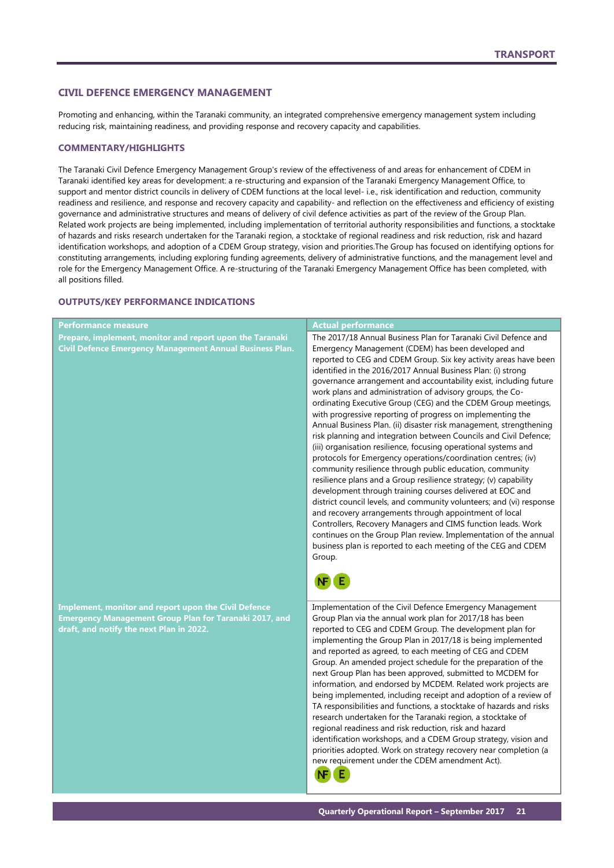### <span id="page-22-0"></span>**CIVIL DEFENCE EMERGENCY MANAGEMENT**

Promoting and enhancing, within the Taranaki community, an integrated comprehensive emergency management system including reducing risk, maintaining readiness, and providing response and recovery capacity and capabilities.

### **COMMENTARY/HIGHLIGHTS**

The Taranaki Civil Defence Emergency Management Group's review of the effectiveness of and areas for enhancement of CDEM in Taranaki identified key areas for development: a re-structuring and expansion of the Taranaki Emergency Management Office, to support and mentor district councils in delivery of CDEM functions at the local level- i.e., risk identification and reduction, community readiness and resilience, and response and recovery capacity and capability- and reflection on the effectiveness and efficiency of existing governance and administrative structures and means of delivery of civil defence activities as part of the review of the Group Plan. Related work projects are being implemented, including implementation of territorial authority responsibilities and functions, a stocktake of hazards and risks research undertaken for the Taranaki region, a stocktake of regional readiness and risk reduction, risk and hazard identification workshops, and adoption of a CDEM Group strategy, vision and priorities.The Group has focused on identifying options for constituting arrangements, including exploring funding agreements, delivery of administrative functions, and the management level and role for the Emergency Management Office. A re-structuring of the Taranaki Emergency Management Office has been completed, with all positions filled.

### **OUTPUTS/KEY PERFORMANCE INDICATIONS**

| Performance measure                                                                                                                                                      | <b>Actual performance</b>                                                                                                                                                                                                                                                                                                                                                                                                                                                                                                                                                                                                                                                                                                                                                                                                                                                                                                                                                                                                                                                                                                                                                                                                                                                                                                                               |
|--------------------------------------------------------------------------------------------------------------------------------------------------------------------------|---------------------------------------------------------------------------------------------------------------------------------------------------------------------------------------------------------------------------------------------------------------------------------------------------------------------------------------------------------------------------------------------------------------------------------------------------------------------------------------------------------------------------------------------------------------------------------------------------------------------------------------------------------------------------------------------------------------------------------------------------------------------------------------------------------------------------------------------------------------------------------------------------------------------------------------------------------------------------------------------------------------------------------------------------------------------------------------------------------------------------------------------------------------------------------------------------------------------------------------------------------------------------------------------------------------------------------------------------------|
| Prepare, implement, monitor and report upon the Taranaki<br><b>Civil Defence Emergency Management Annual Business Plan.</b>                                              | The 2017/18 Annual Business Plan for Taranaki Civil Defence and<br>Emergency Management (CDEM) has been developed and<br>reported to CEG and CDEM Group. Six key activity areas have been<br>identified in the 2016/2017 Annual Business Plan: (i) strong<br>governance arrangement and accountability exist, including future<br>work plans and administration of advisory groups, the Co-<br>ordinating Executive Group (CEG) and the CDEM Group meetings,<br>with progressive reporting of progress on implementing the<br>Annual Business Plan. (ii) disaster risk management, strengthening<br>risk planning and integration between Councils and Civil Defence;<br>(iii) organisation resilience, focusing operational systems and<br>protocols for Emergency operations/coordination centres; (iv)<br>community resilience through public education, community<br>resilience plans and a Group resilience strategy; (v) capability<br>development through training courses delivered at EOC and<br>district council levels, and community volunteers; and (vi) response<br>and recovery arrangements through appointment of local<br>Controllers, Recovery Managers and CIMS function leads. Work<br>continues on the Group Plan review. Implementation of the annual<br>business plan is reported to each meeting of the CEG and CDEM<br>Group. |
| <b>Implement, monitor and report upon the Civil Defence</b><br><b>Emergency Management Group Plan for Taranaki 2017, and</b><br>draft, and notify the next Plan in 2022. | Implementation of the Civil Defence Emergency Management<br>Group Plan via the annual work plan for 2017/18 has been<br>reported to CEG and CDEM Group. The development plan for<br>implementing the Group Plan in 2017/18 is being implemented<br>and reported as agreed, to each meeting of CEG and CDEM<br>Group. An amended project schedule for the preparation of the<br>next Group Plan has been approved, submitted to MCDEM for<br>information, and endorsed by MCDEM. Related work projects are<br>being implemented, including receipt and adoption of a review of<br>TA responsibilities and functions, a stocktake of hazards and risks<br>research undertaken for the Taranaki region, a stocktake of<br>regional readiness and risk reduction, risk and hazard<br>identification workshops, and a CDEM Group strategy, vision and<br>priorities adopted. Work on strategy recovery near completion (a<br>new requirement under the CDEM amendment Act).<br>Ε<br>NF                                                                                                                                                                                                                                                                                                                                                                       |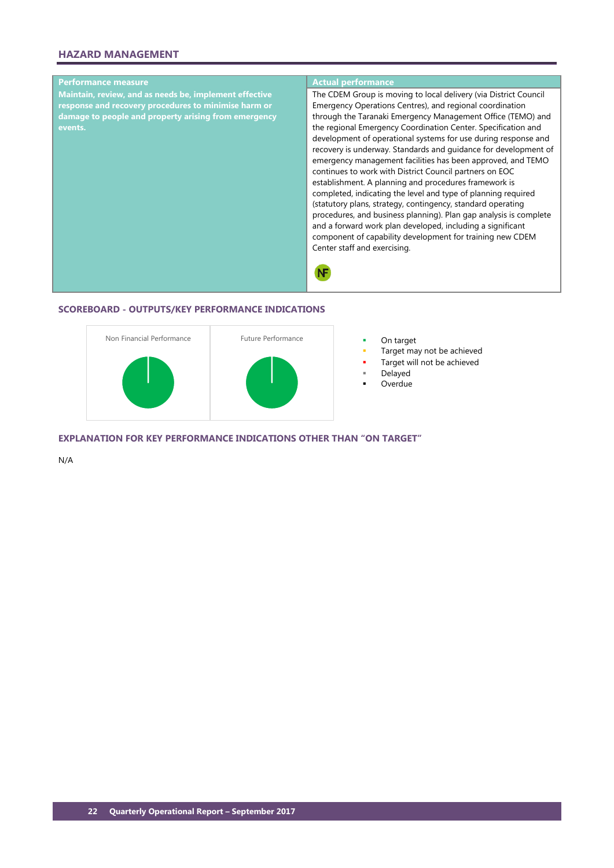## **HAZARD MANAGEMENT**



### **SCOREBOARD - OUTPUTS/KEY PERFORMANCE INDICATIONS**



- 
- Target may not be achieved
- Target will not be achieved
- Delayed
- Overdue

**EXPLANATION FOR KEY PERFORMANCE INDICATIONS OTHER THAN "ON TARGET"**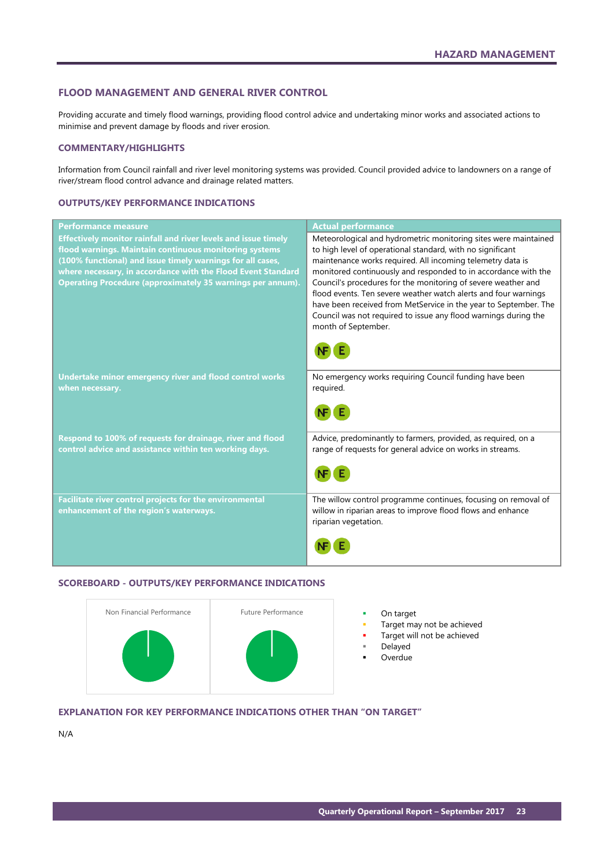### <span id="page-24-0"></span>**FLOOD MANAGEMENT AND GENERAL RIVER CONTROL**

Providing accurate and timely flood warnings, providing flood control advice and undertaking minor works and associated actions to minimise and prevent damage by floods and river erosion.

### **COMMENTARY/HIGHLIGHTS**

Information from Council rainfall and river level monitoring systems was provided. Council provided advice to landowners on a range of river/stream flood control advance and drainage related matters.

### **OUTPUTS/KEY PERFORMANCE INDICATIONS**

| <b>Actual performance</b>                                                                                                                                                                                                                                                                                                                                                                                                                                                                                                                                       |
|-----------------------------------------------------------------------------------------------------------------------------------------------------------------------------------------------------------------------------------------------------------------------------------------------------------------------------------------------------------------------------------------------------------------------------------------------------------------------------------------------------------------------------------------------------------------|
| Meteorological and hydrometric monitoring sites were maintained<br>to high level of operational standard, with no significant<br>maintenance works required. All incoming telemetry data is<br>monitored continuously and responded to in accordance with the<br>Council's procedures for the monitoring of severe weather and<br>flood events. Ten severe weather watch alerts and four warnings<br>have been received from MetService in the year to September. The<br>Council was not required to issue any flood warnings during the<br>month of September. |
| No emergency works requiring Council funding have been<br>required.                                                                                                                                                                                                                                                                                                                                                                                                                                                                                             |
| Advice, predominantly to farmers, provided, as required, on a<br>range of requests for general advice on works in streams.                                                                                                                                                                                                                                                                                                                                                                                                                                      |
| The willow control programme continues, focusing on removal of<br>willow in riparian areas to improve flood flows and enhance<br>riparian vegetation.                                                                                                                                                                                                                                                                                                                                                                                                           |
|                                                                                                                                                                                                                                                                                                                                                                                                                                                                                                                                                                 |

### **SCOREBOARD - OUTPUTS/KEY PERFORMANCE INDICATIONS**



- 
- Target may not be achieved
- Target will not be achieved
	- Delayed
- Overdue

### **EXPLANATION FOR KEY PERFORMANCE INDICATIONS OTHER THAN "ON TARGET"**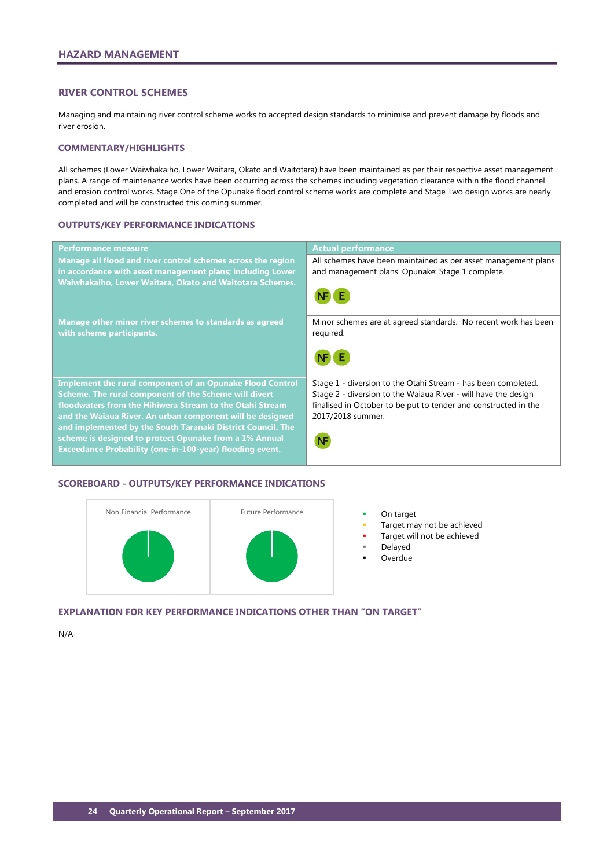## <span id="page-25-0"></span>**RIVER CONTROL SCHEMES**

Managing and maintaining river control scheme works to accepted design standards to minimise and prevent damage by floods and river erosion.

### **COMMENTARY/HIGHLIGHTS**

All schemes (Lower Waiwhakaiho, Lower Waitara, Okato and Waitotara) have been maintained as per their respective asset management plans. A range of maintenance works have been occurring across the schemes including vegetation clearance within the flood channel and erosion control works. Stage One of the Opunake flood control scheme works are complete and Stage Two design works are nearly completed and will be constructed this coming summer.

### **OUTPUTS/KEY PERFORMANCE INDICATIONS**

| <b>Performance measure</b>                                                                                                                                                             | <b>Actual performance</b>                                                                                          |
|----------------------------------------------------------------------------------------------------------------------------------------------------------------------------------------|--------------------------------------------------------------------------------------------------------------------|
| Manage all flood and river control schemes across the region<br>in accordance with asset management plans; including Lower<br>Waiwhakaiho, Lower Waitara, Okato and Waitotara Schemes. | All schemes have been maintained as per asset management plans<br>and management plans. Opunake: Stage 1 complete. |
|                                                                                                                                                                                        |                                                                                                                    |
| Manage other minor river schemes to standards as agreed<br>with scheme participants.                                                                                                   | Minor schemes are at agreed standards. No recent work has been<br>required.                                        |
|                                                                                                                                                                                        |                                                                                                                    |
| <b>Implement the rural component of an Opunake Flood Control</b>                                                                                                                       | Stage 1 - diversion to the Otahi Stream - has been completed.                                                      |
| Scheme. The rural component of the Scheme will divert<br>floodwaters from the Hihiwera Stream to the Otahi Stream                                                                      | Stage 2 - diversion to the Waiaua River - will have the design                                                     |
| and the Waiaua River. An urban component will be designed                                                                                                                              | finalised in October to be put to tender and constructed in the<br>2017/2018 summer.                               |
| and implemented by the South Taranaki District Council. The                                                                                                                            |                                                                                                                    |
| scheme is designed to protect Opunake from a 1% Annual<br><b>Exceedance Probability (one-in-100-year) flooding event.</b>                                                              |                                                                                                                    |
|                                                                                                                                                                                        |                                                                                                                    |

## **SCOREBOARD - OUTPUTS/KEY PERFORMANCE INDICATIONS**



- 
- Target may not be achieved
- Target will not be achieved
- Delayed
- **Overdue**

## **EXPLANATION FOR KEY PERFORMANCE INDICATIONS OTHER THAN "ON TARGET"**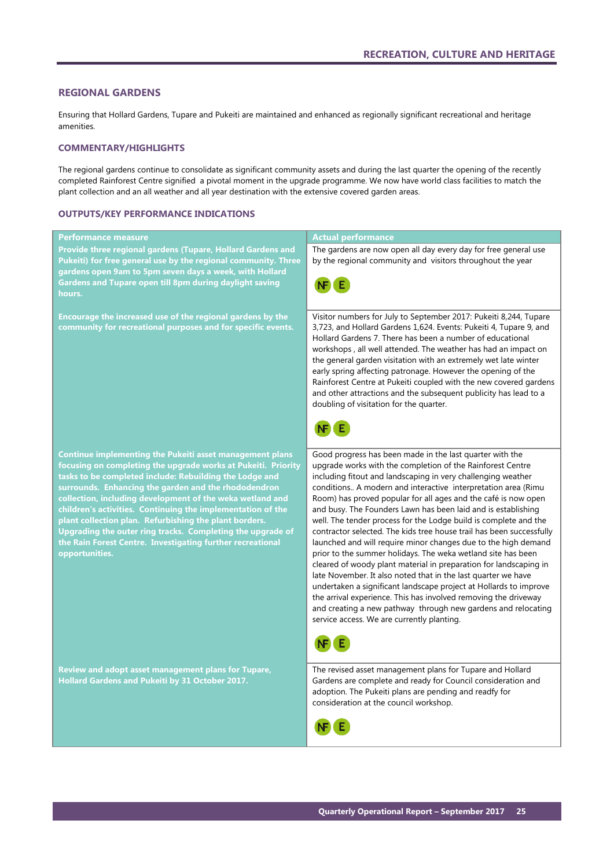## <span id="page-26-0"></span>**REGIONAL GARDENS**

Ensuring that Hollard Gardens, Tupare and Pukeiti are maintained and enhanced as regionally significant recreational and heritage amenities.

### **COMMENTARY/HIGHLIGHTS**

The regional gardens continue to consolidate as significant community assets and during the last quarter the opening of the recently completed Rainforest Centre signified a pivotal moment in the upgrade programme. We now have world class facilities to match the plant collection and an all weather and all year destination with the extensive covered garden areas.

### **OUTPUTS/KEY PERFORMANCE INDICATIONS**

| Performance measure                                                                                                        | <b>Actual performance</b>                                                                                                                                                                                                                                                                                                                                                                                                                                                                                                                                                                     |
|----------------------------------------------------------------------------------------------------------------------------|-----------------------------------------------------------------------------------------------------------------------------------------------------------------------------------------------------------------------------------------------------------------------------------------------------------------------------------------------------------------------------------------------------------------------------------------------------------------------------------------------------------------------------------------------------------------------------------------------|
| Provide three regional gardens (Tupare, Hollard Gardens and                                                                | The gardens are now open all day every day for free general use                                                                                                                                                                                                                                                                                                                                                                                                                                                                                                                               |
| Pukeiti) for free general use by the regional community. Three                                                             | by the regional community and visitors throughout the year                                                                                                                                                                                                                                                                                                                                                                                                                                                                                                                                    |
| gardens open 9am to 5pm seven days a week, with Hollard<br>Gardens and Tupare open till 8pm during daylight saving         |                                                                                                                                                                                                                                                                                                                                                                                                                                                                                                                                                                                               |
| hours.                                                                                                                     |                                                                                                                                                                                                                                                                                                                                                                                                                                                                                                                                                                                               |
|                                                                                                                            |                                                                                                                                                                                                                                                                                                                                                                                                                                                                                                                                                                                               |
| Encourage the increased use of the regional gardens by the<br>community for recreational purposes and for specific events. | Visitor numbers for July to September 2017: Pukeiti 8,244, Tupare<br>3,723, and Hollard Gardens 1,624. Events: Pukeiti 4, Tupare 9, and<br>Hollard Gardens 7. There has been a number of educational<br>workshops, all well attended. The weather has had an impact on<br>the general garden visitation with an extremely wet late winter<br>early spring affecting patronage. However the opening of the<br>Rainforest Centre at Pukeiti coupled with the new covered gardens<br>and other attractions and the subsequent publicity has lead to a<br>doubling of visitation for the quarter. |
| Continue implementing the Pukeiti asset management plans<br>focusing on completing the upgrade works at Pukeiti. Priority  | Good progress has been made in the last quarter with the<br>upgrade works with the completion of the Rainforest Centre                                                                                                                                                                                                                                                                                                                                                                                                                                                                        |
| tasks to be completed include: Rebuilding the Lodge and                                                                    | including fitout and landscaping in very challenging weather                                                                                                                                                                                                                                                                                                                                                                                                                                                                                                                                  |
| surrounds. Enhancing the garden and the rhododendron<br>collection, including development of the weka wetland and          | conditions A modern and interactive interpretation area (Rimu<br>Room) has proved popular for all ages and the café is now open                                                                                                                                                                                                                                                                                                                                                                                                                                                               |
| children's activities. Continuing the implementation of the                                                                | and busy. The Founders Lawn has been laid and is establishing                                                                                                                                                                                                                                                                                                                                                                                                                                                                                                                                 |
| plant collection plan. Refurbishing the plant borders.                                                                     | well. The tender process for the Lodge build is complete and the                                                                                                                                                                                                                                                                                                                                                                                                                                                                                                                              |
| Upgrading the outer ring tracks. Completing the upgrade of<br>the Rain Forest Centre. Investigating further recreational   | contractor selected. The kids tree house trail has been successfully<br>launched and will require minor changes due to the high demand                                                                                                                                                                                                                                                                                                                                                                                                                                                        |
| opportunities.                                                                                                             | prior to the summer holidays. The weka wetland site has been                                                                                                                                                                                                                                                                                                                                                                                                                                                                                                                                  |
|                                                                                                                            | cleared of woody plant material in preparation for landscaping in<br>late November. It also noted that in the last quarter we have                                                                                                                                                                                                                                                                                                                                                                                                                                                            |
|                                                                                                                            | undertaken a significant landscape project at Hollards to improve                                                                                                                                                                                                                                                                                                                                                                                                                                                                                                                             |
|                                                                                                                            | the arrival experience. This has involved removing the driveway                                                                                                                                                                                                                                                                                                                                                                                                                                                                                                                               |
|                                                                                                                            | and creating a new pathway through new gardens and relocating<br>service access. We are currently planting.                                                                                                                                                                                                                                                                                                                                                                                                                                                                                   |
|                                                                                                                            |                                                                                                                                                                                                                                                                                                                                                                                                                                                                                                                                                                                               |
|                                                                                                                            |                                                                                                                                                                                                                                                                                                                                                                                                                                                                                                                                                                                               |
| <b>Review and adopt asset management plans for Tupare,</b>                                                                 | The revised asset management plans for Tupare and Hollard                                                                                                                                                                                                                                                                                                                                                                                                                                                                                                                                     |
| Hollard Gardens and Pukeiti by 31 October 2017.                                                                            | Gardens are complete and ready for Council consideration and<br>adoption. The Pukeiti plans are pending and readfy for                                                                                                                                                                                                                                                                                                                                                                                                                                                                        |
|                                                                                                                            | consideration at the council workshop.                                                                                                                                                                                                                                                                                                                                                                                                                                                                                                                                                        |
|                                                                                                                            |                                                                                                                                                                                                                                                                                                                                                                                                                                                                                                                                                                                               |
|                                                                                                                            |                                                                                                                                                                                                                                                                                                                                                                                                                                                                                                                                                                                               |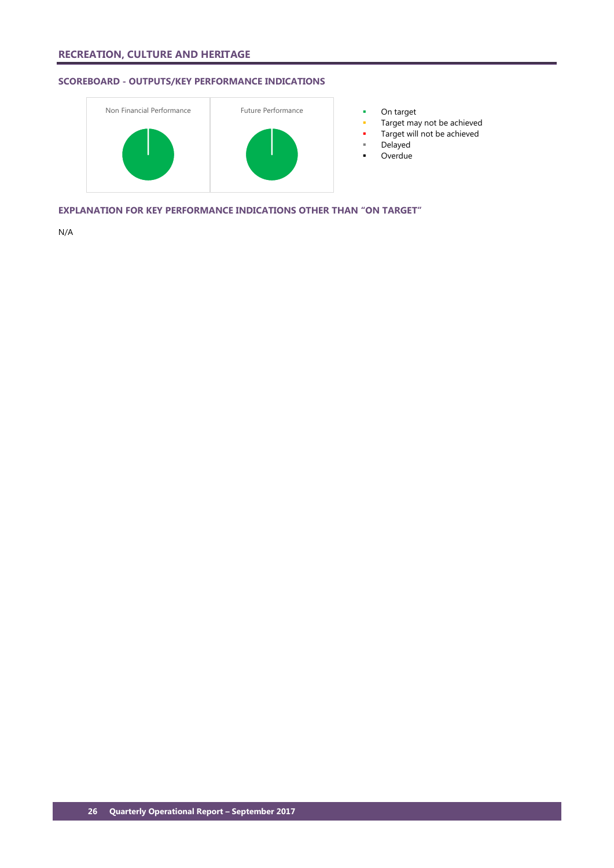# **SCOREBOARD - OUTPUTS/KEY PERFORMANCE INDICATIONS**



- 
- Target may not be achieved
- Target will not be achieved
- Delayed
- **D**verdue

**EXPLANATION FOR KEY PERFORMANCE INDICATIONS OTHER THAN "ON TARGET"**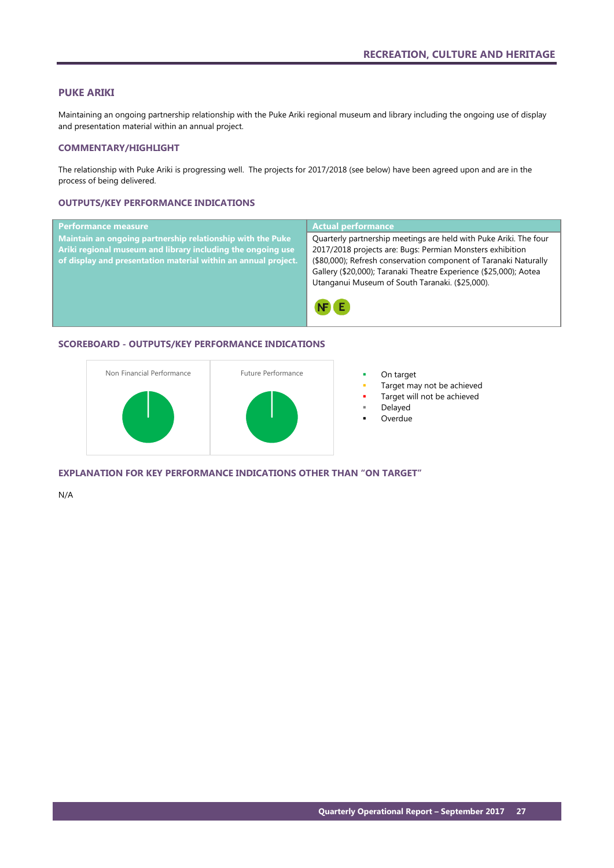### <span id="page-28-0"></span>**PUKE ARIKI**

Maintaining an ongoing partnership relationship with the Puke Ariki regional museum and library including the ongoing use of display and presentation material within an annual project.

### **COMMENTARY/HIGHLIGHT**

The relationship with Puke Ariki is progressing well. The projects for 2017/2018 (see below) have been agreed upon and are in the process of being delivered.

### **OUTPUTS/KEY PERFORMANCE INDICATIONS**



## **SCOREBOARD - OUTPUTS/KEY PERFORMANCE INDICATIONS**



- 
- Target may not be achieved
- Target will not be achieved
- Delayed
- Overdue

**EXPLANATION FOR KEY PERFORMANCE INDICATIONS OTHER THAN "ON TARGET"**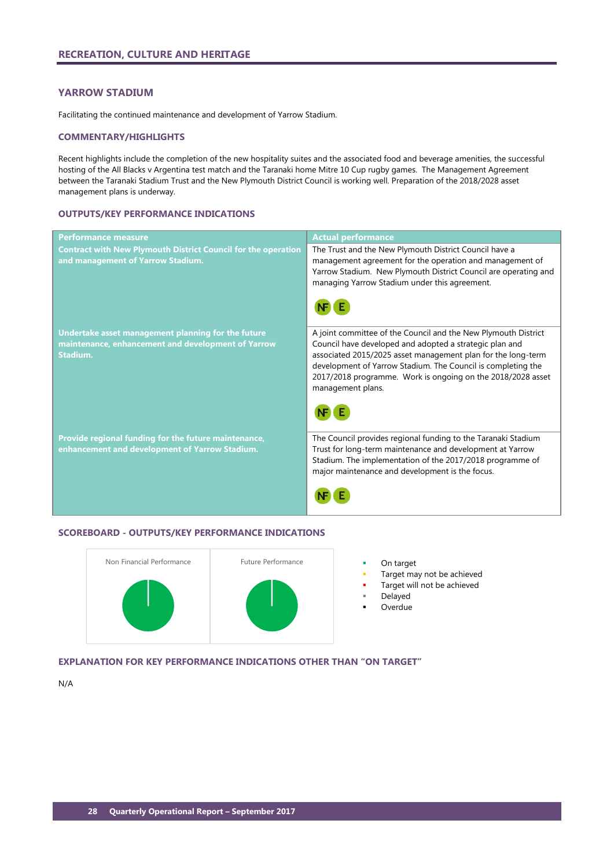## <span id="page-29-0"></span>**YARROW STADIUM**

Facilitating the continued maintenance and development of Yarrow Stadium.

### **COMMENTARY/HIGHLIGHTS**

Recent highlights include the completion of the new hospitality suites and the associated food and beverage amenities, the successful hosting of the All Blacks v Argentina test match and the Taranaki home Mitre 10 Cup rugby games. The Management Agreement between the Taranaki Stadium Trust and the New Plymouth District Council is working well. Preparation of the 2018/2028 asset management plans is underway.

## **OUTPUTS/KEY PERFORMANCE INDICATIONS**

| <b>Performance measure</b>                                                                                           | <b>Actual performance</b>                                                                                                                                                                                                                                                                                                                     |
|----------------------------------------------------------------------------------------------------------------------|-----------------------------------------------------------------------------------------------------------------------------------------------------------------------------------------------------------------------------------------------------------------------------------------------------------------------------------------------|
| <b>Contract with New Plymouth District Council for the operation</b><br>and management of Yarrow Stadium.            | The Trust and the New Plymouth District Council have a<br>management agreement for the operation and management of<br>Yarrow Stadium. New Plymouth District Council are operating and<br>managing Yarrow Stadium under this agreement.                                                                                                        |
| Undertake asset management planning for the future<br>maintenance, enhancement and development of Yarrow<br>Stadium. | A joint committee of the Council and the New Plymouth District<br>Council have developed and adopted a strategic plan and<br>associated 2015/2025 asset management plan for the long-term<br>development of Yarrow Stadium. The Council is completing the<br>2017/2018 programme. Work is ongoing on the 2018/2028 asset<br>management plans. |
| Provide regional funding for the future maintenance,<br>enhancement and development of Yarrow Stadium.               | The Council provides regional funding to the Taranaki Stadium<br>Trust for long-term maintenance and development at Yarrow<br>Stadium. The implementation of the 2017/2018 programme of<br>major maintenance and development is the focus.                                                                                                    |

### **SCOREBOARD - OUTPUTS/KEY PERFORMANCE INDICATIONS**



- Target may not be achieved
	- Target will not be achieved
	- Delayed
	- Overdue

## **EXPLANATION FOR KEY PERFORMANCE INDICATIONS OTHER THAN "ON TARGET"**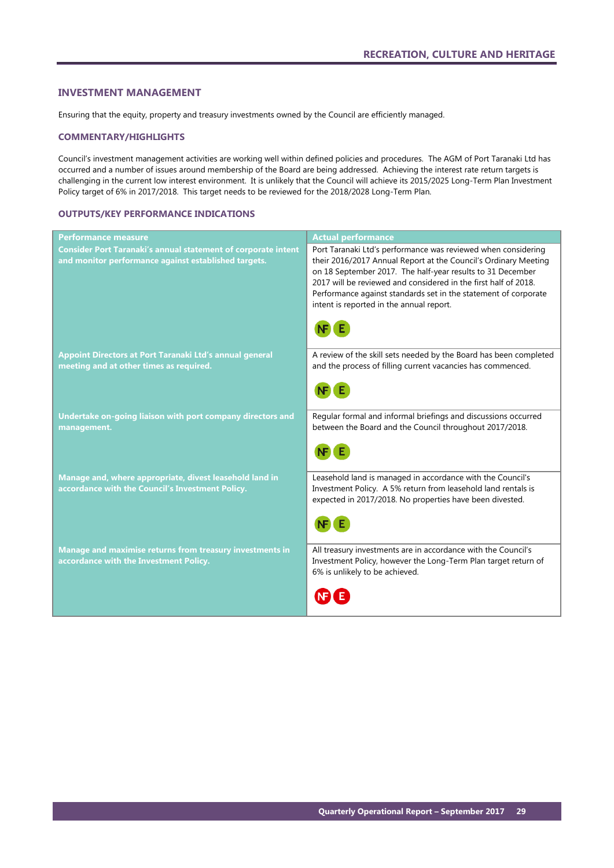### <span id="page-30-0"></span>**INVESTMENT MANAGEMENT**

Ensuring that the equity, property and treasury investments owned by the Council are efficiently managed.

### **COMMENTARY/HIGHLIGHTS**

Council's investment management activities are working well within defined policies and procedures. The AGM of Port Taranaki Ltd has occurred and a number of issues around membership of the Board are being addressed. Achieving the interest rate return targets is challenging in the current low interest environment. It is unlikely that the Council will achieve its 2015/2025 Long-Term Plan Investment Policy target of 6% in 2017/2018. This target needs to be reviewed for the 2018/2028 Long-Term Plan.

## **OUTPUTS/KEY PERFORMANCE INDICATIONS**

| <b>Performance measure</b>                                                                                                   | <b>Actual performance</b>                                                                                                                                                                                                                                                                                                                                                        |
|------------------------------------------------------------------------------------------------------------------------------|----------------------------------------------------------------------------------------------------------------------------------------------------------------------------------------------------------------------------------------------------------------------------------------------------------------------------------------------------------------------------------|
| <b>Consider Port Taranaki's annual statement of corporate intent</b><br>and monitor performance against established targets. | Port Taranaki Ltd's performance was reviewed when considering<br>their 2016/2017 Annual Report at the Council's Ordinary Meeting<br>on 18 September 2017. The half-year results to 31 December<br>2017 will be reviewed and considered in the first half of 2018.<br>Performance against standards set in the statement of corporate<br>intent is reported in the annual report. |
| Appoint Directors at Port Taranaki Ltd's annual general<br>meeting and at other times as required.                           | A review of the skill sets needed by the Board has been completed<br>and the process of filling current vacancies has commenced.                                                                                                                                                                                                                                                 |
| Undertake on-going liaison with port company directors and<br>management.                                                    | Regular formal and informal briefings and discussions occurred<br>between the Board and the Council throughout 2017/2018.                                                                                                                                                                                                                                                        |
| Manage and, where appropriate, divest leasehold land in<br>accordance with the Council's Investment Policy.                  | Leasehold land is managed in accordance with the Council's<br>Investment Policy. A 5% return from leasehold land rentals is<br>expected in 2017/2018. No properties have been divested.                                                                                                                                                                                          |
| Manage and maximise returns from treasury investments in<br>accordance with the Investment Policy.                           | All treasury investments are in accordance with the Council's<br>Investment Policy, however the Long-Term Plan target return of<br>6% is unlikely to be achieved.                                                                                                                                                                                                                |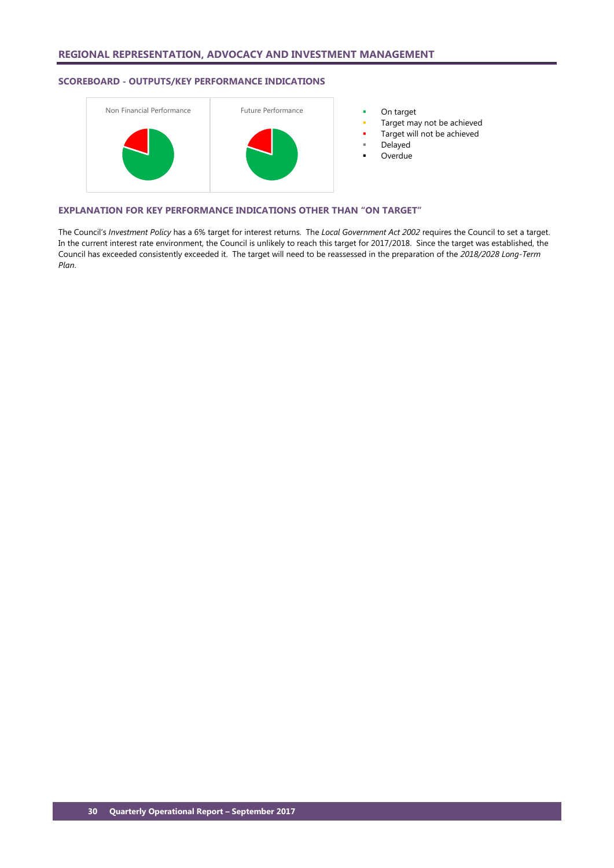## **SCOREBOARD - OUTPUTS/KEY PERFORMANCE INDICATIONS**



- 
- Target may not be achieved
- Target will not be achieved
- Delayed
- Overdue

### **EXPLANATION FOR KEY PERFORMANCE INDICATIONS OTHER THAN "ON TARGET"**

The Council's *Investment Policy* has a 6% target for interest returns. The *Local Government Act 2002* requires the Council to set a target. In the current interest rate environment, the Council is unlikely to reach this target for 2017/2018. Since the target was established, the Council has exceeded consistently exceeded it. The target will need to be reassessed in the preparation of the *2018/2028 Long-Term Plan*.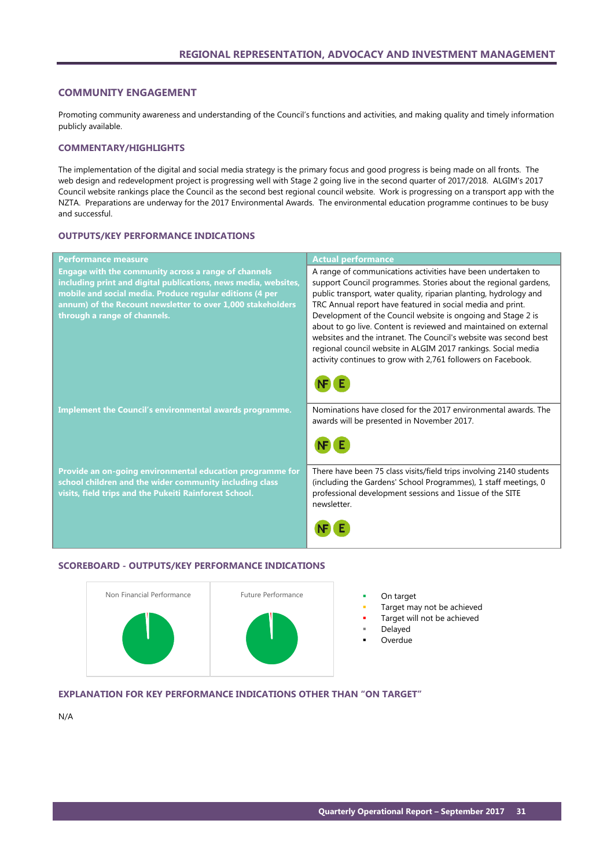### <span id="page-32-0"></span>**COMMUNITY ENGAGEMENT**

Promoting community awareness and understanding of the Council's functions and activities, and making quality and timely information publicly available.

### **COMMENTARY/HIGHLIGHTS**

The implementation of the digital and social media strategy is the primary focus and good progress is being made on all fronts. The web design and redevelopment project is progressing well with Stage 2 going live in the second quarter of 2017/2018. ALGIM's 2017 Council website rankings place the Council as the second best regional council website. Work is progressing on a transport app with the NZTA. Preparations are underway for the 2017 Environmental Awards. The environmental education programme continues to be busy and successful.

### **OUTPUTS/KEY PERFORMANCE INDICATIONS**

| <b>Performance measure</b>                                                                                                                                                                                                                                                         | <b>Actual performance</b>                                                                                                                                                                                                                                                                                                                                                                                                                                                                                                                                                                                   |
|------------------------------------------------------------------------------------------------------------------------------------------------------------------------------------------------------------------------------------------------------------------------------------|-------------------------------------------------------------------------------------------------------------------------------------------------------------------------------------------------------------------------------------------------------------------------------------------------------------------------------------------------------------------------------------------------------------------------------------------------------------------------------------------------------------------------------------------------------------------------------------------------------------|
| Engage with the community across a range of channels<br>including print and digital publications, news media, websites,<br>mobile and social media. Produce regular editions (4 per<br>annum) of the Recount newsletter to over 1,000 stakeholders<br>through a range of channels. | A range of communications activities have been undertaken to<br>support Council programmes. Stories about the regional gardens,<br>public transport, water quality, riparian planting, hydrology and<br>TRC Annual report have featured in social media and print.<br>Development of the Council website is ongoing and Stage 2 is<br>about to go live. Content is reviewed and maintained on external<br>websites and the intranet. The Council's website was second best<br>regional council website in ALGIM 2017 rankings. Social media<br>activity continues to grow with 2,761 followers on Facebook. |
| Implement the Council's environmental awards programme.                                                                                                                                                                                                                            | Nominations have closed for the 2017 environmental awards. The<br>awards will be presented in November 2017.                                                                                                                                                                                                                                                                                                                                                                                                                                                                                                |
| Provide an on-going environmental education programme for<br>school children and the wider community including class<br>visits, field trips and the Pukeiti Rainforest School.                                                                                                     | There have been 75 class visits/field trips involving 2140 students<br>(including the Gardens' School Programmes), 1 staff meetings, 0<br>professional development sessions and 1issue of the SITE<br>newsletter.                                                                                                                                                                                                                                                                                                                                                                                           |
|                                                                                                                                                                                                                                                                                    |                                                                                                                                                                                                                                                                                                                                                                                                                                                                                                                                                                                                             |

### **SCOREBOARD - OUTPUTS/KEY PERFORMANCE INDICATIONS**



- 
- Target may not be achieved
- Target will not be achieved
- Delayed
- **Overdue**

### **EXPLANATION FOR KEY PERFORMANCE INDICATIONS OTHER THAN "ON TARGET"**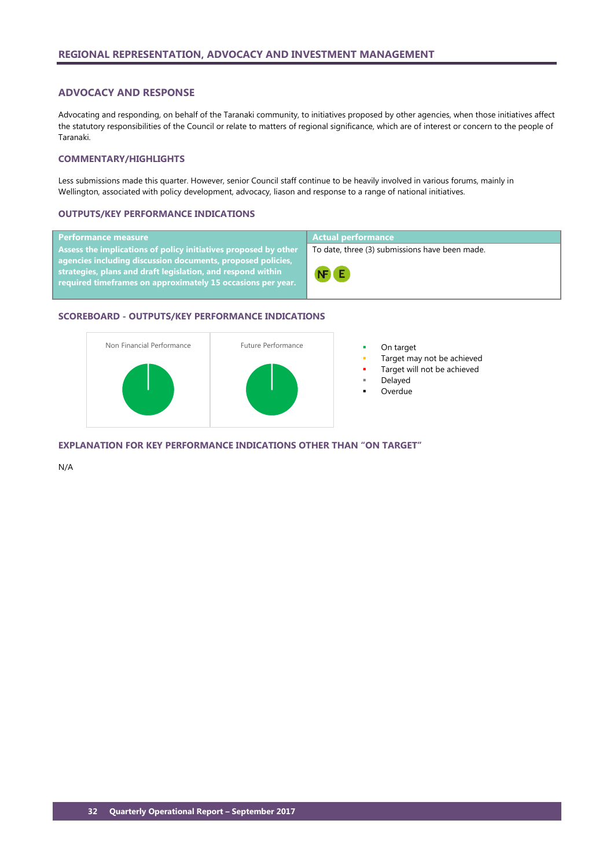### <span id="page-33-0"></span>**ADVOCACY AND RESPONSE**

Advocating and responding, on behalf of the Taranaki community, to initiatives proposed by other agencies, when those initiatives affect the statutory responsibilities of the Council or relate to matters of regional significance, which are of interest or concern to the people of Taranaki.

### **COMMENTARY/HIGHLIGHTS**

Less submissions made this quarter. However, senior Council staff continue to be heavily involved in various forums, mainly in Wellington, associated with policy development, advocacy, liason and response to a range of national initiatives.

### **OUTPUTS/KEY PERFORMANCE INDICATIONS**

| <b>Performance measure</b>                                                                                                                                                                                                                  | Actual performance                             |
|---------------------------------------------------------------------------------------------------------------------------------------------------------------------------------------------------------------------------------------------|------------------------------------------------|
| Assess the implications of policy initiatives proposed by other $\overline{p}$                                                                                                                                                              | To date, three (3) submissions have been made. |
| agencies including discussion documents, proposed policies,<br>$\overline{\phantom{a}}$ strategies, plans and draft legislation, and respond within $\overline{\phantom{a}}$<br>required timeframes on approximately 15 occasions per year. | NF E                                           |

### **SCOREBOARD - OUTPUTS/KEY PERFORMANCE INDICATIONS**



- 
- Target may not be achieved
- Target will not be achieved
- Delayed
- Overdue

**EXPLANATION FOR KEY PERFORMANCE INDICATIONS OTHER THAN "ON TARGET"**